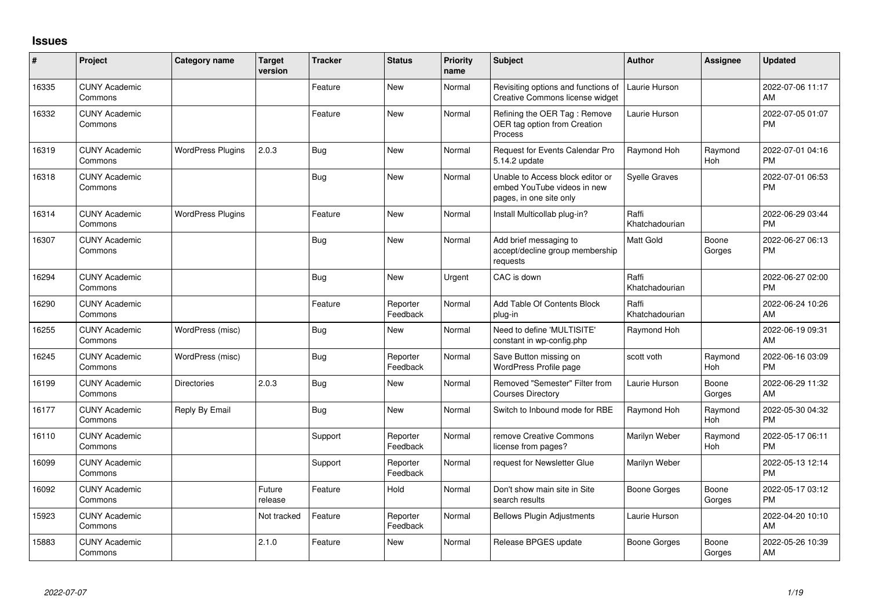## **Issues**

| ∦     | Project                         | Category name            | <b>Target</b><br>version | <b>Tracker</b> | <b>Status</b>        | <b>Priority</b><br>name | <b>Subject</b>                                                                             | <b>Author</b>           | Assignee              | <b>Updated</b>                |
|-------|---------------------------------|--------------------------|--------------------------|----------------|----------------------|-------------------------|--------------------------------------------------------------------------------------------|-------------------------|-----------------------|-------------------------------|
| 16335 | <b>CUNY Academic</b><br>Commons |                          |                          | Feature        | New                  | Normal                  | Revisiting options and functions of<br>Creative Commons license widget                     | Laurie Hurson           |                       | 2022-07-06 11:17<br>AM        |
| 16332 | <b>CUNY Academic</b><br>Commons |                          |                          | Feature        | <b>New</b>           | Normal                  | Refining the OER Tag: Remove<br>OER tag option from Creation<br>Process                    | Laurie Hurson           |                       | 2022-07-05 01:07<br>PM        |
| 16319 | <b>CUNY Academic</b><br>Commons | <b>WordPress Plugins</b> | 2.0.3                    | Bug            | <b>New</b>           | Normal                  | Request for Events Calendar Pro<br>5.14.2 update                                           | <b>Raymond Hoh</b>      | Raymond<br><b>Hoh</b> | 2022-07-01 04:16<br><b>PM</b> |
| 16318 | <b>CUNY Academic</b><br>Commons |                          |                          | <b>Bug</b>     | <b>New</b>           | Normal                  | Unable to Access block editor or<br>embed YouTube videos in new<br>pages, in one site only | Syelle Graves           |                       | 2022-07-01 06:53<br><b>PM</b> |
| 16314 | <b>CUNY Academic</b><br>Commons | <b>WordPress Plugins</b> |                          | Feature        | <b>New</b>           | Normal                  | Install Multicollab plug-in?                                                               | Raffi<br>Khatchadourian |                       | 2022-06-29 03:44<br><b>PM</b> |
| 16307 | <b>CUNY Academic</b><br>Commons |                          |                          | Bug            | <b>New</b>           | Normal                  | Add brief messaging to<br>accept/decline group membership<br>requests                      | <b>Matt Gold</b>        | Boone<br>Gorges       | 2022-06-27 06:13<br><b>PM</b> |
| 16294 | <b>CUNY Academic</b><br>Commons |                          |                          | Bug            | New                  | Urgent                  | CAC is down                                                                                | Raffi<br>Khatchadourian |                       | 2022-06-27 02:00<br><b>PM</b> |
| 16290 | <b>CUNY Academic</b><br>Commons |                          |                          | Feature        | Reporter<br>Feedback | Normal                  | Add Table Of Contents Block<br>plug-in                                                     | Raffi<br>Khatchadourian |                       | 2022-06-24 10:26<br>AM        |
| 16255 | <b>CUNY Academic</b><br>Commons | WordPress (misc)         |                          | Bug            | <b>New</b>           | Normal                  | Need to define 'MULTISITE'<br>constant in wp-config.php                                    | Raymond Hoh             |                       | 2022-06-19 09:31<br>AM        |
| 16245 | <b>CUNY Academic</b><br>Commons | WordPress (misc)         |                          | Bug            | Reporter<br>Feedback | Normal                  | Save Button missing on<br>WordPress Profile page                                           | scott voth              | Raymond<br>Hoh        | 2022-06-16 03:09<br><b>PM</b> |
| 16199 | <b>CUNY Academic</b><br>Commons | <b>Directories</b>       | 2.0.3                    | Bug            | New                  | Normal                  | Removed "Semester" Filter from<br><b>Courses Directory</b>                                 | Laurie Hurson           | Boone<br>Gorges       | 2022-06-29 11:32<br>AM        |
| 16177 | <b>CUNY Academic</b><br>Commons | Reply By Email           |                          | Bug            | New                  | Normal                  | Switch to Inbound mode for RBE                                                             | Raymond Hoh             | Raymond<br><b>Hoh</b> | 2022-05-30 04:32<br><b>PM</b> |
| 16110 | <b>CUNY Academic</b><br>Commons |                          |                          | Support        | Reporter<br>Feedback | Normal                  | remove Creative Commons<br>license from pages?                                             | Marilyn Weber           | Raymond<br>Hoh        | 2022-05-17 06:11<br><b>PM</b> |
| 16099 | <b>CUNY Academic</b><br>Commons |                          |                          | Support        | Reporter<br>Feedback | Normal                  | request for Newsletter Glue                                                                | Marilyn Weber           |                       | 2022-05-13 12:14<br><b>PM</b> |
| 16092 | <b>CUNY Academic</b><br>Commons |                          | Future<br>release        | Feature        | Hold                 | Normal                  | Don't show main site in Site<br>search results                                             | Boone Gorges            | Boone<br>Gorges       | 2022-05-17 03:12<br><b>PM</b> |
| 15923 | <b>CUNY Academic</b><br>Commons |                          | Not tracked              | Feature        | Reporter<br>Feedback | Normal                  | <b>Bellows Plugin Adjustments</b>                                                          | Laurie Hurson           |                       | 2022-04-20 10:10<br>AM        |
| 15883 | <b>CUNY Academic</b><br>Commons |                          | 2.1.0                    | Feature        | <b>New</b>           | Normal                  | Release BPGES update                                                                       | <b>Boone Gorges</b>     | Boone<br>Gorges       | 2022-05-26 10:39<br>AM        |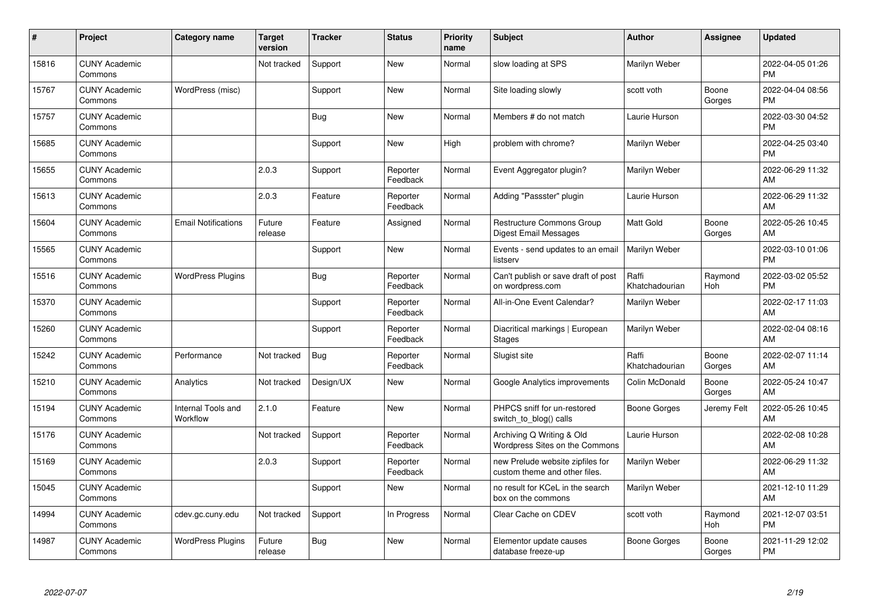| #     | Project                         | Category name                  | <b>Target</b><br>version | <b>Tracker</b> | <b>Status</b>        | <b>Priority</b><br>name | <b>Subject</b>                                                    | <b>Author</b>           | <b>Assignee</b> | <b>Updated</b>                |
|-------|---------------------------------|--------------------------------|--------------------------|----------------|----------------------|-------------------------|-------------------------------------------------------------------|-------------------------|-----------------|-------------------------------|
| 15816 | <b>CUNY Academic</b><br>Commons |                                | Not tracked              | Support        | <b>New</b>           | Normal                  | slow loading at SPS                                               | Marilyn Weber           |                 | 2022-04-05 01:26<br><b>PM</b> |
| 15767 | <b>CUNY Academic</b><br>Commons | WordPress (misc)               |                          | Support        | <b>New</b>           | Normal                  | Site loading slowly                                               | scott voth              | Boone<br>Gorges | 2022-04-04 08:56<br><b>PM</b> |
| 15757 | <b>CUNY Academic</b><br>Commons |                                |                          | Bug            | <b>New</b>           | Normal                  | Members # do not match                                            | Laurie Hurson           |                 | 2022-03-30 04:52<br><b>PM</b> |
| 15685 | <b>CUNY Academic</b><br>Commons |                                |                          | Support        | <b>New</b>           | High                    | problem with chrome?                                              | Marilyn Weber           |                 | 2022-04-25 03:40<br><b>PM</b> |
| 15655 | <b>CUNY Academic</b><br>Commons |                                | 2.0.3                    | Support        | Reporter<br>Feedback | Normal                  | Event Aggregator plugin?                                          | Marilyn Weber           |                 | 2022-06-29 11:32<br>AM        |
| 15613 | <b>CUNY Academic</b><br>Commons |                                | 2.0.3                    | Feature        | Reporter<br>Feedback | Normal                  | Adding "Passster" plugin                                          | Laurie Hurson           |                 | 2022-06-29 11:32<br>AM        |
| 15604 | <b>CUNY Academic</b><br>Commons | <b>Email Notifications</b>     | Future<br>release        | Feature        | Assigned             | Normal                  | Restructure Commons Group<br><b>Digest Email Messages</b>         | <b>Matt Gold</b>        | Boone<br>Gorges | 2022-05-26 10:45<br>AM        |
| 15565 | <b>CUNY Academic</b><br>Commons |                                |                          | Support        | <b>New</b>           | Normal                  | Events - send updates to an email<br>listserv                     | Marilyn Weber           |                 | 2022-03-10 01:06<br><b>PM</b> |
| 15516 | <b>CUNY Academic</b><br>Commons | <b>WordPress Plugins</b>       |                          | Bug            | Reporter<br>Feedback | Normal                  | Can't publish or save draft of post<br>on wordpress.com           | Raffi<br>Khatchadourian | Raymond<br>Hoh  | 2022-03-02 05:52<br><b>PM</b> |
| 15370 | <b>CUNY Academic</b><br>Commons |                                |                          | Support        | Reporter<br>Feedback | Normal                  | All-in-One Event Calendar?                                        | Marilyn Weber           |                 | 2022-02-17 11:03<br>AM        |
| 15260 | <b>CUNY Academic</b><br>Commons |                                |                          | Support        | Reporter<br>Feedback | Normal                  | Diacritical markings   European<br><b>Stages</b>                  | Marilyn Weber           |                 | 2022-02-04 08:16<br>AM        |
| 15242 | <b>CUNY Academic</b><br>Commons | Performance                    | Not tracked              | Bug            | Reporter<br>Feedback | Normal                  | Slugist site                                                      | Raffi<br>Khatchadourian | Boone<br>Gorges | 2022-02-07 11:14<br>AM        |
| 15210 | <b>CUNY Academic</b><br>Commons | Analytics                      | Not tracked              | Design/UX      | New                  | Normal                  | Google Analytics improvements                                     | Colin McDonald          | Boone<br>Gorges | 2022-05-24 10:47<br>AM        |
| 15194 | <b>CUNY Academic</b><br>Commons | Internal Tools and<br>Workflow | 2.1.0                    | Feature        | <b>New</b>           | Normal                  | PHPCS sniff for un-restored<br>switch_to_blog() calls             | <b>Boone Gorges</b>     | Jeremy Felt     | 2022-05-26 10:45<br>AM        |
| 15176 | <b>CUNY Academic</b><br>Commons |                                | Not tracked              | Support        | Reporter<br>Feedback | Normal                  | Archiving Q Writing & Old<br>Wordpress Sites on the Commons       | Laurie Hurson           |                 | 2022-02-08 10:28<br>AM        |
| 15169 | <b>CUNY Academic</b><br>Commons |                                | 2.0.3                    | Support        | Reporter<br>Feedback | Normal                  | new Prelude website zipfiles for<br>custom theme and other files. | Marilyn Weber           |                 | 2022-06-29 11:32<br>AM        |
| 15045 | <b>CUNY Academic</b><br>Commons |                                |                          | Support        | New                  | Normal                  | no result for KCeL in the search<br>box on the commons            | Marilyn Weber           |                 | 2021-12-10 11:29<br>AM        |
| 14994 | <b>CUNY Academic</b><br>Commons | cdev.gc.cuny.edu               | Not tracked              | Support        | In Progress          | Normal                  | Clear Cache on CDEV                                               | scott voth              | Raymond<br>Hoh  | 2021-12-07 03:51<br><b>PM</b> |
| 14987 | <b>CUNY Academic</b><br>Commons | <b>WordPress Plugins</b>       | Future<br>release        | <b>Bug</b>     | New                  | Normal                  | Elementor update causes<br>database freeze-up                     | Boone Gorges            | Boone<br>Gorges | 2021-11-29 12:02<br><b>PM</b> |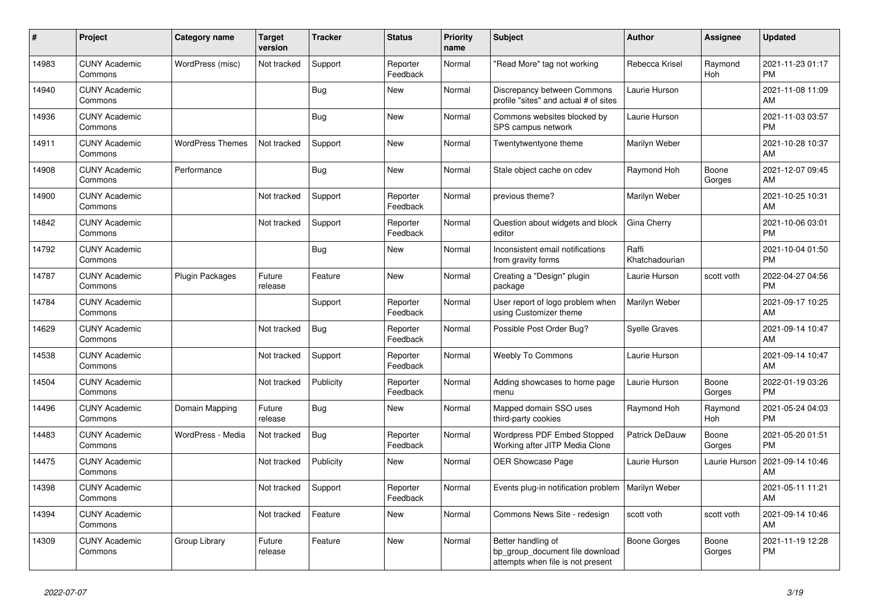| $\vert$ # | <b>Project</b>                  | Category name           | <b>Target</b><br>version | <b>Tracker</b> | <b>Status</b>        | <b>Priority</b><br>name | <b>Subject</b>                                                                             | <b>Author</b>           | Assignee        | <b>Updated</b>                |
|-----------|---------------------------------|-------------------------|--------------------------|----------------|----------------------|-------------------------|--------------------------------------------------------------------------------------------|-------------------------|-----------------|-------------------------------|
| 14983     | <b>CUNY Academic</b><br>Commons | WordPress (misc)        | Not tracked              | Support        | Reporter<br>Feedback | Normal                  | "Read More" tag not working                                                                | Rebecca Krisel          | Raymond<br>Hoh  | 2021-11-23 01:17<br><b>PM</b> |
| 14940     | <b>CUNY Academic</b><br>Commons |                         |                          | <b>Bug</b>     | New                  | Normal                  | Discrepancy between Commons<br>profile "sites" and actual # of sites                       | Laurie Hurson           |                 | 2021-11-08 11:09<br>AM        |
| 14936     | <b>CUNY Academic</b><br>Commons |                         |                          | <b>Bug</b>     | <b>New</b>           | Normal                  | Commons websites blocked by<br>SPS campus network                                          | Laurie Hurson           |                 | 2021-11-03 03:57<br><b>PM</b> |
| 14911     | <b>CUNY Academic</b><br>Commons | <b>WordPress Themes</b> | Not tracked              | Support        | <b>New</b>           | Normal                  | Twentytwentyone theme                                                                      | Marilyn Weber           |                 | 2021-10-28 10:37<br>AM        |
| 14908     | <b>CUNY Academic</b><br>Commons | Performance             |                          | Bug            | New                  | Normal                  | Stale object cache on cdev                                                                 | Raymond Hoh             | Boone<br>Gorges | 2021-12-07 09:45<br>AM        |
| 14900     | <b>CUNY Academic</b><br>Commons |                         | Not tracked              | Support        | Reporter<br>Feedback | Normal                  | previous theme?                                                                            | Marilyn Weber           |                 | 2021-10-25 10:31<br>AM        |
| 14842     | <b>CUNY Academic</b><br>Commons |                         | Not tracked              | Support        | Reporter<br>Feedback | Normal                  | Question about widgets and block<br>editor                                                 | Gina Cherry             |                 | 2021-10-06 03:01<br><b>PM</b> |
| 14792     | <b>CUNY Academic</b><br>Commons |                         |                          | Bug            | <b>New</b>           | Normal                  | Inconsistent email notifications<br>from gravity forms                                     | Raffi<br>Khatchadourian |                 | 2021-10-04 01:50<br><b>PM</b> |
| 14787     | <b>CUNY Academic</b><br>Commons | <b>Plugin Packages</b>  | Future<br>release        | Feature        | <b>New</b>           | Normal                  | Creating a "Design" plugin<br>package                                                      | Laurie Hurson           | scott voth      | 2022-04-27 04:56<br><b>PM</b> |
| 14784     | <b>CUNY Academic</b><br>Commons |                         |                          | Support        | Reporter<br>Feedback | Normal                  | User report of logo problem when<br>using Customizer theme                                 | Marilyn Weber           |                 | 2021-09-17 10:25<br>AM        |
| 14629     | <b>CUNY Academic</b><br>Commons |                         | Not tracked              | Bug            | Reporter<br>Feedback | Normal                  | Possible Post Order Bug?                                                                   | Syelle Graves           |                 | 2021-09-14 10:47<br>AM        |
| 14538     | <b>CUNY Academic</b><br>Commons |                         | Not tracked              | Support        | Reporter<br>Feedback | Normal                  | <b>Weebly To Commons</b>                                                                   | Laurie Hurson           |                 | 2021-09-14 10:47<br>AM        |
| 14504     | <b>CUNY Academic</b><br>Commons |                         | Not tracked              | Publicity      | Reporter<br>Feedback | Normal                  | Adding showcases to home page<br>menu                                                      | Laurie Hurson           | Boone<br>Gorges | 2022-01-19 03:26<br><b>PM</b> |
| 14496     | <b>CUNY Academic</b><br>Commons | Domain Mapping          | Future<br>release        | <b>Bug</b>     | New                  | Normal                  | Mapped domain SSO uses<br>third-party cookies                                              | Raymond Hoh             | Raymond<br>Hoh  | 2021-05-24 04:03<br><b>PM</b> |
| 14483     | <b>CUNY Academic</b><br>Commons | WordPress - Media       | Not tracked              | <b>Bug</b>     | Reporter<br>Feedback | Normal                  | Wordpress PDF Embed Stopped<br>Working after JITP Media Clone                              | Patrick DeDauw          | Boone<br>Gorges | 2021-05-20 01:51<br><b>PM</b> |
| 14475     | <b>CUNY Academic</b><br>Commons |                         | Not tracked              | Publicity      | New                  | Normal                  | OER Showcase Page                                                                          | Laurie Hurson           | Laurie Hurson   | 2021-09-14 10:46<br>AM        |
| 14398     | <b>CUNY Academic</b><br>Commons |                         | Not tracked              | Support        | Reporter<br>Feedback | Normal                  | Events plug-in notification problem                                                        | Marilyn Weber           |                 | 2021-05-11 11:21<br>AM        |
| 14394     | <b>CUNY Academic</b><br>Commons |                         | Not tracked              | Feature        | <b>New</b>           | Normal                  | Commons News Site - redesign                                                               | scott voth              | scott voth      | 2021-09-14 10:46<br>AM        |
| 14309     | <b>CUNY Academic</b><br>Commons | Group Library           | Future<br>release        | Feature        | New                  | Normal                  | Better handling of<br>bp group document file download<br>attempts when file is not present | Boone Gorges            | Boone<br>Gorges | 2021-11-19 12:28<br><b>PM</b> |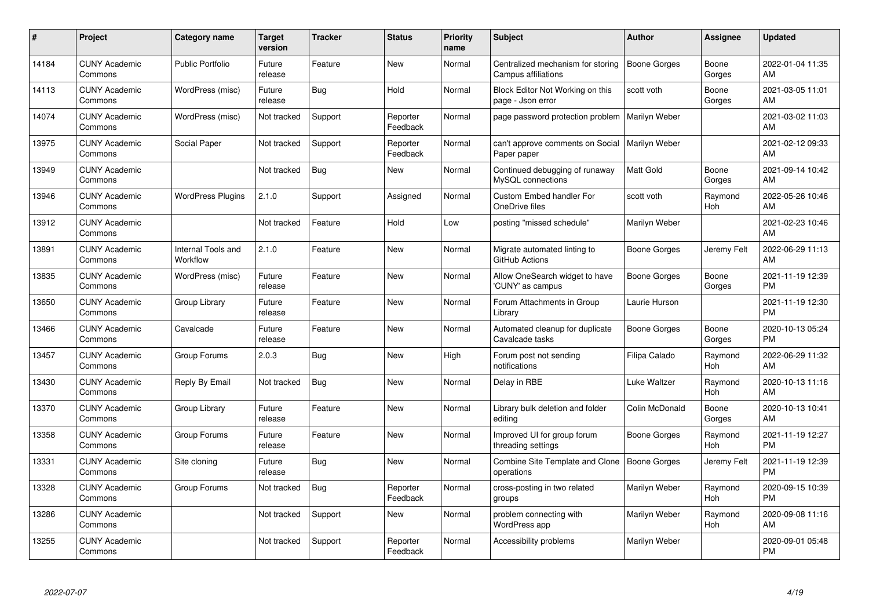| #     | Project                         | Category name                  | <b>Target</b><br>version | <b>Tracker</b> | <b>Status</b>        | <b>Priority</b><br>name | <b>Subject</b>                                               | Author              | <b>Assignee</b> | <b>Updated</b>                |
|-------|---------------------------------|--------------------------------|--------------------------|----------------|----------------------|-------------------------|--------------------------------------------------------------|---------------------|-----------------|-------------------------------|
| 14184 | <b>CUNY Academic</b><br>Commons | <b>Public Portfolio</b>        | Future<br>release        | Feature        | <b>New</b>           | Normal                  | Centralized mechanism for storing<br>Campus affiliations     | <b>Boone Gorges</b> | Boone<br>Gorges | 2022-01-04 11:35<br>AM        |
| 14113 | <b>CUNY Academic</b><br>Commons | WordPress (misc)               | Future<br>release        | Bug            | Hold                 | Normal                  | Block Editor Not Working on this<br>page - Json error        | scott voth          | Boone<br>Gorges | 2021-03-05 11:01<br>AM        |
| 14074 | <b>CUNY Academic</b><br>Commons | WordPress (misc)               | Not tracked              | Support        | Reporter<br>Feedback | Normal                  | page password protection problem                             | Marilyn Weber       |                 | 2021-03-02 11:03<br>AM        |
| 13975 | <b>CUNY Academic</b><br>Commons | Social Paper                   | Not tracked              | Support        | Reporter<br>Feedback | Normal                  | can't approve comments on Social<br>Paper paper              | Marilyn Weber       |                 | 2021-02-12 09:33<br>AM        |
| 13949 | <b>CUNY Academic</b><br>Commons |                                | Not tracked              | <b>Bug</b>     | New                  | Normal                  | Continued debugging of runaway<br>MySQL connections          | <b>Matt Gold</b>    | Boone<br>Gorges | 2021-09-14 10:42<br>AM        |
| 13946 | <b>CUNY Academic</b><br>Commons | <b>WordPress Plugins</b>       | 2.1.0                    | Support        | Assigned             | Normal                  | <b>Custom Embed handler For</b><br>OneDrive files            | scott voth          | Raymond<br>Hoh  | 2022-05-26 10:46<br>AM        |
| 13912 | <b>CUNY Academic</b><br>Commons |                                | Not tracked              | Feature        | Hold                 | Low                     | posting "missed schedule"                                    | Marilyn Weber       |                 | 2021-02-23 10:46<br>AM        |
| 13891 | <b>CUNY Academic</b><br>Commons | Internal Tools and<br>Workflow | 2.1.0                    | Feature        | New                  | Normal                  | Migrate automated linting to<br>GitHub Actions               | Boone Gorges        | Jeremy Felt     | 2022-06-29 11:13<br>AM        |
| 13835 | <b>CUNY Academic</b><br>Commons | WordPress (misc)               | Future<br>release        | Feature        | <b>New</b>           | Normal                  | Allow OneSearch widget to have<br>'CUNY' as campus           | <b>Boone Gorges</b> | Boone<br>Gorges | 2021-11-19 12:39<br><b>PM</b> |
| 13650 | <b>CUNY Academic</b><br>Commons | Group Library                  | Future<br>release        | Feature        | <b>New</b>           | Normal                  | Forum Attachments in Group<br>Library                        | Laurie Hurson       |                 | 2021-11-19 12:30<br><b>PM</b> |
| 13466 | <b>CUNY Academic</b><br>Commons | Cavalcade                      | Future<br>release        | Feature        | <b>New</b>           | Normal                  | Automated cleanup for duplicate<br>Cavalcade tasks           | Boone Gorges        | Boone<br>Gorges | 2020-10-13 05:24<br><b>PM</b> |
| 13457 | <b>CUNY Academic</b><br>Commons | Group Forums                   | 2.0.3                    | Bug            | <b>New</b>           | High                    | Forum post not sending<br>notifications                      | Filipa Calado       | Raymond<br>Hoh  | 2022-06-29 11:32<br>AM        |
| 13430 | <b>CUNY Academic</b><br>Commons | Reply By Email                 | Not tracked              | <b>Bug</b>     | New                  | Normal                  | Delay in RBE                                                 | Luke Waltzer        | Raymond<br>Hoh  | 2020-10-13 11:16<br>AM        |
| 13370 | <b>CUNY Academic</b><br>Commons | Group Library                  | Future<br>release        | Feature        | <b>New</b>           | Normal                  | Library bulk deletion and folder<br>editing                  | Colin McDonald      | Boone<br>Gorges | 2020-10-13 10:41<br>AM        |
| 13358 | <b>CUNY Academic</b><br>Commons | Group Forums                   | Future<br>release        | Feature        | New                  | Normal                  | Improved UI for group forum<br>threading settings            | Boone Gorges        | Raymond<br>Hoh  | 2021-11-19 12:27<br><b>PM</b> |
| 13331 | <b>CUNY Academic</b><br>Commons | Site cloning                   | Future<br>release        | Bug            | New                  | Normal                  | Combine Site Template and Clone   Boone Gorges<br>operations |                     | Jeremy Felt     | 2021-11-19 12:39<br><b>PM</b> |
| 13328 | <b>CUNY Academic</b><br>Commons | Group Forums                   | Not tracked              | Bug            | Reporter<br>Feedback | Normal                  | cross-posting in two related<br>groups                       | Marilyn Weber       | Raymond<br>Hoh  | 2020-09-15 10:39<br><b>PM</b> |
| 13286 | <b>CUNY Academic</b><br>Commons |                                | Not tracked              | Support        | New                  | Normal                  | problem connecting with<br>WordPress app                     | Marilyn Weber       | Raymond<br>Hoh  | 2020-09-08 11:16<br>AM        |
| 13255 | <b>CUNY Academic</b><br>Commons |                                | Not tracked              | Support        | Reporter<br>Feedback | Normal                  | Accessibility problems                                       | Marilyn Weber       |                 | 2020-09-01 05:48<br><b>PM</b> |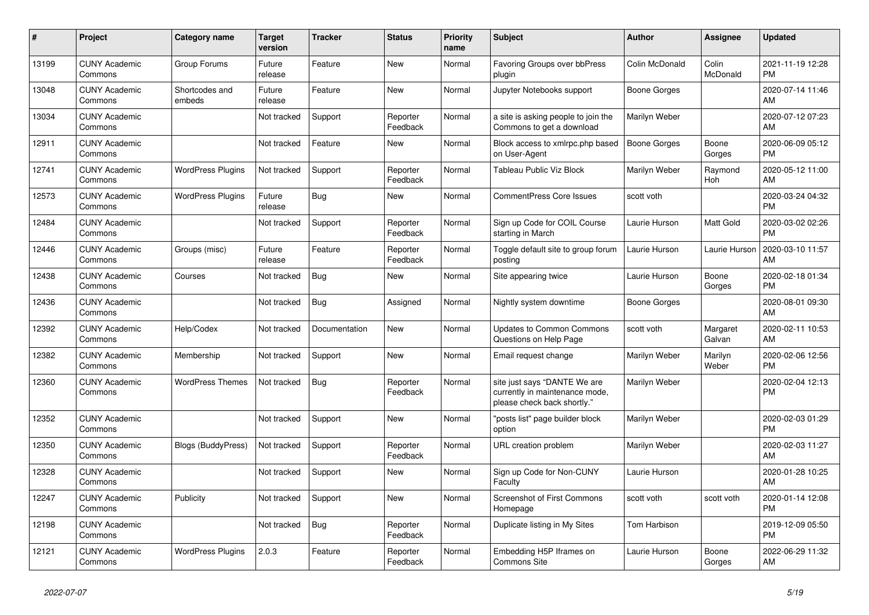| #     | <b>Project</b>                  | <b>Category name</b>     | <b>Target</b><br>version | <b>Tracker</b> | <b>Status</b>        | <b>Priority</b><br>name | <b>Subject</b>                                                                                | <b>Author</b>       | Assignee           | <b>Updated</b>                |
|-------|---------------------------------|--------------------------|--------------------------|----------------|----------------------|-------------------------|-----------------------------------------------------------------------------------------------|---------------------|--------------------|-------------------------------|
| 13199 | <b>CUNY Academic</b><br>Commons | Group Forums             | Future<br>release        | Feature        | <b>New</b>           | Normal                  | <b>Favoring Groups over bbPress</b><br>plugin                                                 | Colin McDonald      | Colin<br>McDonald  | 2021-11-19 12:28<br><b>PM</b> |
| 13048 | <b>CUNY Academic</b><br>Commons | Shortcodes and<br>embeds | Future<br>release        | Feature        | <b>New</b>           | Normal                  | Jupyter Notebooks support                                                                     | Boone Gorges        |                    | 2020-07-14 11:46<br>AM        |
| 13034 | <b>CUNY Academic</b><br>Commons |                          | Not tracked              | Support        | Reporter<br>Feedback | Normal                  | a site is asking people to join the<br>Commons to get a download                              | Marilyn Weber       |                    | 2020-07-12 07:23<br>AM        |
| 12911 | <b>CUNY Academic</b><br>Commons |                          | Not tracked              | Feature        | <b>New</b>           | Normal                  | Block access to xmlrpc.php based<br>on User-Agent                                             | <b>Boone Gorges</b> | Boone<br>Gorges    | 2020-06-09 05:12<br><b>PM</b> |
| 12741 | <b>CUNY Academic</b><br>Commons | <b>WordPress Plugins</b> | Not tracked              | Support        | Reporter<br>Feedback | Normal                  | Tableau Public Viz Block                                                                      | Marilyn Weber       | Raymond<br>Hoh     | 2020-05-12 11:00<br>AM        |
| 12573 | <b>CUNY Academic</b><br>Commons | <b>WordPress Plugins</b> | Future<br>release        | <b>Bug</b>     | New                  | Normal                  | CommentPress Core Issues                                                                      | scott voth          |                    | 2020-03-24 04:32<br><b>PM</b> |
| 12484 | <b>CUNY Academic</b><br>Commons |                          | Not tracked              | Support        | Reporter<br>Feedback | Normal                  | Sign up Code for COIL Course<br>starting in March                                             | Laurie Hurson       | Matt Gold          | 2020-03-02 02:26<br><b>PM</b> |
| 12446 | <b>CUNY Academic</b><br>Commons | Groups (misc)            | Future<br>release        | Feature        | Reporter<br>Feedback | Normal                  | Toggle default site to group forum<br>posting                                                 | Laurie Hurson       | Laurie Hurson      | 2020-03-10 11:57<br>AM        |
| 12438 | <b>CUNY Academic</b><br>Commons | Courses                  | Not tracked              | Bug            | New                  | Normal                  | Site appearing twice                                                                          | Laurie Hurson       | Boone<br>Gorges    | 2020-02-18 01:34<br><b>PM</b> |
| 12436 | <b>CUNY Academic</b><br>Commons |                          | Not tracked              | <b>Bug</b>     | Assigned             | Normal                  | Nightly system downtime                                                                       | Boone Gorges        |                    | 2020-08-01 09:30<br>AM        |
| 12392 | <b>CUNY Academic</b><br>Commons | Help/Codex               | Not tracked              | Documentation  | New                  | Normal                  | <b>Updates to Common Commons</b><br>Questions on Help Page                                    | scott voth          | Margaret<br>Galvan | 2020-02-11 10:53<br>AM        |
| 12382 | <b>CUNY Academic</b><br>Commons | Membership               | Not tracked              | Support        | <b>New</b>           | Normal                  | Email request change                                                                          | Marilyn Weber       | Marilyn<br>Weber   | 2020-02-06 12:56<br><b>PM</b> |
| 12360 | <b>CUNY Academic</b><br>Commons | <b>WordPress Themes</b>  | Not tracked              | Bug            | Reporter<br>Feedback | Normal                  | site just says "DANTE We are<br>currently in maintenance mode,<br>please check back shortly." | Marilyn Weber       |                    | 2020-02-04 12:13<br><b>PM</b> |
| 12352 | <b>CUNY Academic</b><br>Commons |                          | Not tracked              | Support        | New                  | Normal                  | "posts list" page builder block<br>option                                                     | Marilyn Weber       |                    | 2020-02-03 01:29<br><b>PM</b> |
| 12350 | <b>CUNY Academic</b><br>Commons | Blogs (BuddyPress)       | Not tracked              | Support        | Reporter<br>Feedback | Normal                  | URL creation problem                                                                          | Marilyn Weber       |                    | 2020-02-03 11:27<br>AM        |
| 12328 | <b>CUNY Academic</b><br>Commons |                          | Not tracked              | Support        | New                  | Normal                  | Sign up Code for Non-CUNY<br>Faculty                                                          | Laurie Hurson       |                    | 2020-01-28 10:25<br>AM        |
| 12247 | <b>CUNY Academic</b><br>Commons | Publicity                | Not tracked              | Support        | <b>New</b>           | Normal                  | <b>Screenshot of First Commons</b><br>Homepage                                                | scott voth          | scott voth         | 2020-01-14 12:08<br><b>PM</b> |
| 12198 | <b>CUNY Academic</b><br>Commons |                          | Not tracked              | <b>Bug</b>     | Reporter<br>Feedback | Normal                  | Duplicate listing in My Sites                                                                 | Tom Harbison        |                    | 2019-12-09 05:50<br><b>PM</b> |
| 12121 | <b>CUNY Academic</b><br>Commons | <b>WordPress Plugins</b> | 2.0.3                    | Feature        | Reporter<br>Feedback | Normal                  | Embedding H5P Iframes on<br><b>Commons Site</b>                                               | Laurie Hurson       | Boone<br>Gorges    | 2022-06-29 11:32<br>AM        |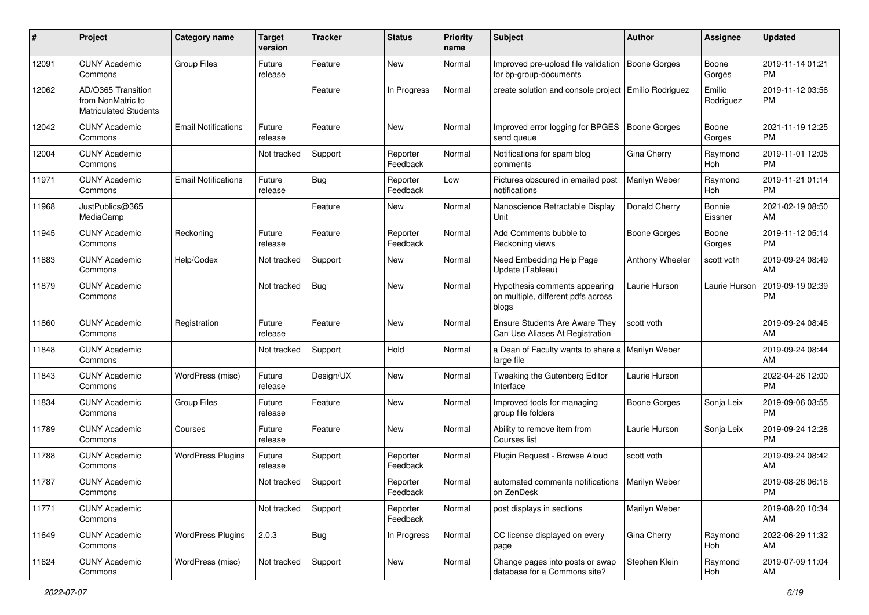| #     | Project                                                                 | <b>Category name</b>       | <b>Target</b><br>version | <b>Tracker</b> | <b>Status</b>        | <b>Priority</b><br>name | <b>Subject</b>                                                               | Author          | <b>Assignee</b>     | <b>Updated</b>                |
|-------|-------------------------------------------------------------------------|----------------------------|--------------------------|----------------|----------------------|-------------------------|------------------------------------------------------------------------------|-----------------|---------------------|-------------------------------|
| 12091 | <b>CUNY Academic</b><br>Commons                                         | <b>Group Files</b>         | Future<br>release        | Feature        | New                  | Normal                  | Improved pre-upload file validation   Boone Gorges<br>for bp-group-documents |                 | Boone<br>Gorges     | 2019-11-14 01:21<br><b>PM</b> |
| 12062 | AD/O365 Transition<br>from NonMatric to<br><b>Matriculated Students</b> |                            |                          | Feature        | In Progress          | Normal                  | create solution and console project Emilio Rodriguez                         |                 | Emilio<br>Rodriguez | 2019-11-12 03:56<br><b>PM</b> |
| 12042 | <b>CUNY Academic</b><br>Commons                                         | <b>Email Notifications</b> | Future<br>release        | Feature        | New                  | Normal                  | Improved error logging for BPGES   Boone Gorges<br>send queue                |                 | Boone<br>Gorges     | 2021-11-19 12:25<br><b>PM</b> |
| 12004 | <b>CUNY Academic</b><br>Commons                                         |                            | Not tracked              | Support        | Reporter<br>Feedback | Normal                  | Notifications for spam blog<br>comments                                      | Gina Cherry     | Raymond<br>Hoh      | 2019-11-01 12:05<br><b>PM</b> |
| 11971 | <b>CUNY Academic</b><br>Commons                                         | <b>Email Notifications</b> | Future<br>release        | Bug            | Reporter<br>Feedback | Low                     | Pictures obscured in emailed post<br>notifications                           | Marilyn Weber   | Raymond<br>Hoh      | 2019-11-21 01:14<br><b>PM</b> |
| 11968 | JustPublics@365<br>MediaCamp                                            |                            |                          | Feature        | New                  | Normal                  | Nanoscience Retractable Display<br>Unit                                      | Donald Cherry   | Bonnie<br>Eissner   | 2021-02-19 08:50<br>AM        |
| 11945 | <b>CUNY Academic</b><br>Commons                                         | Reckoning                  | Future<br>release        | Feature        | Reporter<br>Feedback | Normal                  | Add Comments bubble to<br>Reckoning views                                    | Boone Gorges    | Boone<br>Gorges     | 2019-11-12 05:14<br><b>PM</b> |
| 11883 | <b>CUNY Academic</b><br>Commons                                         | Help/Codex                 | Not tracked              | Support        | New                  | Normal                  | Need Embedding Help Page<br>Update (Tableau)                                 | Anthony Wheeler | scott voth          | 2019-09-24 08:49<br>AM        |
| 11879 | <b>CUNY Academic</b><br>Commons                                         |                            | Not tracked              | <b>Bug</b>     | New                  | Normal                  | Hypothesis comments appearing<br>on multiple, different pdfs across<br>blogs | Laurie Hurson   | Laurie Hurson       | 2019-09-19 02:39<br><b>PM</b> |
| 11860 | <b>CUNY Academic</b><br>Commons                                         | Registration               | Future<br>release        | Feature        | New                  | Normal                  | Ensure Students Are Aware They<br>Can Use Aliases At Registration            | scott voth      |                     | 2019-09-24 08:46<br>AM        |
| 11848 | <b>CUNY Academic</b><br>Commons                                         |                            | Not tracked              | Support        | Hold                 | Normal                  | a Dean of Faculty wants to share a<br>large file                             | Marilyn Weber   |                     | 2019-09-24 08:44<br>AM        |
| 11843 | <b>CUNY Academic</b><br>Commons                                         | WordPress (misc)           | Future<br>release        | Design/UX      | New                  | Normal                  | Tweaking the Gutenberg Editor<br>Interface                                   | Laurie Hurson   |                     | 2022-04-26 12:00<br><b>PM</b> |
| 11834 | <b>CUNY Academic</b><br>Commons                                         | <b>Group Files</b>         | Future<br>release        | Feature        | New                  | Normal                  | Improved tools for managing<br>group file folders                            | Boone Gorges    | Sonja Leix          | 2019-09-06 03:55<br><b>PM</b> |
| 11789 | <b>CUNY Academic</b><br>Commons                                         | Courses                    | Future<br>release        | Feature        | New                  | Normal                  | Ability to remove item from<br>Courses list                                  | Laurie Hurson   | Sonja Leix          | 2019-09-24 12:28<br><b>PM</b> |
| 11788 | <b>CUNY Academic</b><br>Commons                                         | <b>WordPress Plugins</b>   | Future<br>release        | Support        | Reporter<br>Feedback | Normal                  | Plugin Request - Browse Aloud                                                | scott voth      |                     | 2019-09-24 08:42<br>AM        |
| 11787 | <b>CUNY Academic</b><br>Commons                                         |                            | Not tracked              | Support        | Reporter<br>Feedback | Normal                  | automated comments notifications   Marilyn Weber<br>on ZenDesk               |                 |                     | 2019-08-26 06:18<br>PM        |
| 11771 | <b>CUNY Academic</b><br>Commons                                         |                            | Not tracked              | Support        | Reporter<br>Feedback | Normal                  | post displays in sections                                                    | Marilyn Weber   |                     | 2019-08-20 10:34<br>AM        |
| 11649 | <b>CUNY Academic</b><br>Commons                                         | <b>WordPress Plugins</b>   | 2.0.3                    | <b>Bug</b>     | In Progress          | Normal                  | CC license displayed on every<br>page                                        | Gina Cherry     | Raymond<br>Hoh      | 2022-06-29 11:32<br>AM        |
| 11624 | <b>CUNY Academic</b><br>Commons                                         | WordPress (misc)           | Not tracked              | Support        | New                  | Normal                  | Change pages into posts or swap<br>database for a Commons site?              | Stephen Klein   | Raymond<br>Hoh      | 2019-07-09 11:04<br>AM        |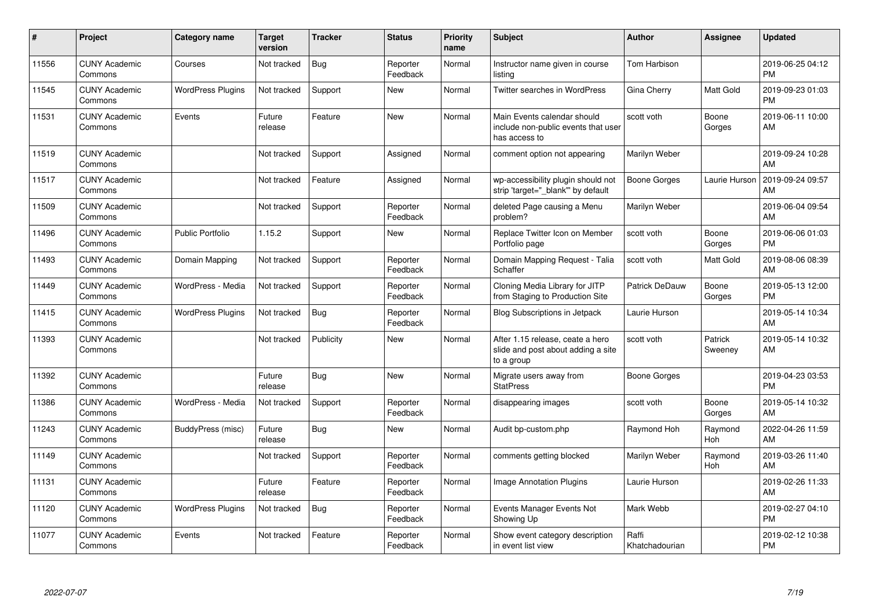| $\vert$ # | Project                         | Category name            | <b>Target</b><br>version | <b>Tracker</b> | <b>Status</b>        | Priority<br>name | <b>Subject</b>                                                                       | <b>Author</b>           | <b>Assignee</b>    | <b>Updated</b>                |
|-----------|---------------------------------|--------------------------|--------------------------|----------------|----------------------|------------------|--------------------------------------------------------------------------------------|-------------------------|--------------------|-------------------------------|
| 11556     | <b>CUNY Academic</b><br>Commons | Courses                  | Not tracked              | <b>Bug</b>     | Reporter<br>Feedback | Normal           | Instructor name given in course<br>listing                                           | <b>Tom Harbison</b>     |                    | 2019-06-25 04:12<br><b>PM</b> |
| 11545     | <b>CUNY Academic</b><br>Commons | <b>WordPress Plugins</b> | Not tracked              | Support        | <b>New</b>           | Normal           | Twitter searches in WordPress                                                        | Gina Cherry             | Matt Gold          | 2019-09-23 01:03<br><b>PM</b> |
| 11531     | <b>CUNY Academic</b><br>Commons | Events                   | Future<br>release        | Feature        | New                  | Normal           | Main Events calendar should<br>include non-public events that user<br>has access to  | scott voth              | Boone<br>Gorges    | 2019-06-11 10:00<br>AM        |
| 11519     | <b>CUNY Academic</b><br>Commons |                          | Not tracked              | Support        | Assigned             | Normal           | comment option not appearing                                                         | Marilyn Weber           |                    | 2019-09-24 10:28<br>AM        |
| 11517     | <b>CUNY Academic</b><br>Commons |                          | Not tracked              | Feature        | Assigned             | Normal           | wp-accessibility plugin should not<br>strip 'target=" blank" by default              | Boone Gorges            | Laurie Hurson      | 2019-09-24 09:57<br>AM        |
| 11509     | <b>CUNY Academic</b><br>Commons |                          | Not tracked              | Support        | Reporter<br>Feedback | Normal           | deleted Page causing a Menu<br>problem?                                              | Marilyn Weber           |                    | 2019-06-04 09:54<br>AM        |
| 11496     | <b>CUNY Academic</b><br>Commons | <b>Public Portfolio</b>  | 1.15.2                   | Support        | <b>New</b>           | Normal           | Replace Twitter Icon on Member<br>Portfolio page                                     | scott voth              | Boone<br>Gorges    | 2019-06-06 01:03<br><b>PM</b> |
| 11493     | <b>CUNY Academic</b><br>Commons | Domain Mapping           | Not tracked              | Support        | Reporter<br>Feedback | Normal           | Domain Mapping Request - Talia<br>Schaffer                                           | scott voth              | Matt Gold          | 2019-08-06 08:39<br>AM        |
| 11449     | <b>CUNY Academic</b><br>Commons | WordPress - Media        | Not tracked              | Support        | Reporter<br>Feedback | Normal           | Cloning Media Library for JITP<br>from Staging to Production Site                    | <b>Patrick DeDauw</b>   | Boone<br>Gorges    | 2019-05-13 12:00<br><b>PM</b> |
| 11415     | <b>CUNY Academic</b><br>Commons | <b>WordPress Plugins</b> | Not tracked              | <b>Bug</b>     | Reporter<br>Feedback | Normal           | <b>Blog Subscriptions in Jetpack</b>                                                 | Laurie Hurson           |                    | 2019-05-14 10:34<br>AM        |
| 11393     | <b>CUNY Academic</b><br>Commons |                          | Not tracked              | Publicity      | <b>New</b>           | Normal           | After 1.15 release, ceate a hero<br>slide and post about adding a site<br>to a group | scott voth              | Patrick<br>Sweeney | 2019-05-14 10:32<br>AM        |
| 11392     | <b>CUNY Academic</b><br>Commons |                          | Future<br>release        | <b>Bug</b>     | <b>New</b>           | Normal           | Migrate users away from<br><b>StatPress</b>                                          | Boone Gorges            |                    | 2019-04-23 03:53<br><b>PM</b> |
| 11386     | <b>CUNY Academic</b><br>Commons | WordPress - Media        | Not tracked              | Support        | Reporter<br>Feedback | Normal           | disappearing images                                                                  | scott voth              | Boone<br>Gorges    | 2019-05-14 10:32<br>AM        |
| 11243     | <b>CUNY Academic</b><br>Commons | BuddyPress (misc)        | Future<br>release        | Bug            | New                  | Normal           | Audit bp-custom.php                                                                  | Raymond Hoh             | Raymond<br>Hoh     | 2022-04-26 11:59<br>AM        |
| 11149     | <b>CUNY Academic</b><br>Commons |                          | Not tracked              | Support        | Reporter<br>Feedback | Normal           | comments getting blocked                                                             | Marilyn Weber           | Raymond<br>Hoh     | 2019-03-26 11:40<br>AM        |
| 11131     | <b>CUNY Academic</b><br>Commons |                          | Future<br>release        | Feature        | Reporter<br>Feedback | Normal           | <b>Image Annotation Plugins</b>                                                      | Laurie Hurson           |                    | 2019-02-26 11:33<br>AM        |
| 11120     | <b>CUNY Academic</b><br>Commons | <b>WordPress Plugins</b> | Not tracked              | <b>Bug</b>     | Reporter<br>Feedback | Normal           | Events Manager Events Not<br>Showing Up                                              | Mark Webb               |                    | 2019-02-27 04:10<br><b>PM</b> |
| 11077     | <b>CUNY Academic</b><br>Commons | Events                   | Not tracked              | Feature        | Reporter<br>Feedback | Normal           | Show event category description<br>in event list view                                | Raffi<br>Khatchadourian |                    | 2019-02-12 10:38<br>PM        |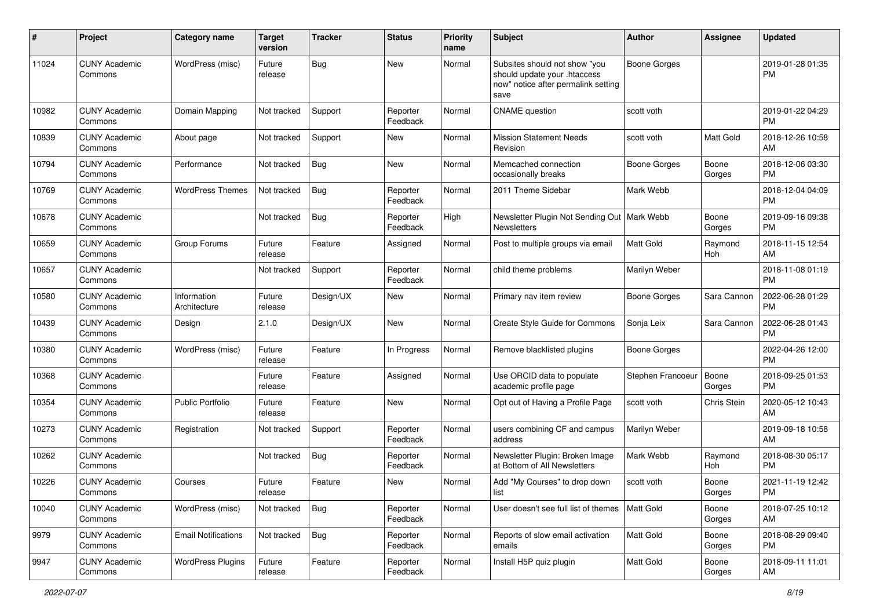| #     | Project                         | <b>Category name</b>        | <b>Target</b><br>version | <b>Tracker</b> | <b>Status</b>        | Priority<br>name | Subject                                                                                                      | Author              | <b>Assignee</b> | <b>Updated</b>                |
|-------|---------------------------------|-----------------------------|--------------------------|----------------|----------------------|------------------|--------------------------------------------------------------------------------------------------------------|---------------------|-----------------|-------------------------------|
| 11024 | <b>CUNY Academic</b><br>Commons | WordPress (misc)            | Future<br>release        | <b>Bug</b>     | New                  | Normal           | Subsites should not show "you<br>should update your .htaccess<br>now" notice after permalink setting<br>save | <b>Boone Gorges</b> |                 | 2019-01-28 01:35<br><b>PM</b> |
| 10982 | <b>CUNY Academic</b><br>Commons | Domain Mapping              | Not tracked              | Support        | Reporter<br>Feedback | Normal           | <b>CNAME</b> question                                                                                        | scott voth          |                 | 2019-01-22 04:29<br><b>PM</b> |
| 10839 | <b>CUNY Academic</b><br>Commons | About page                  | Not tracked              | Support        | New                  | Normal           | <b>Mission Statement Needs</b><br>Revision                                                                   | scott voth          | Matt Gold       | 2018-12-26 10:58<br>AM        |
| 10794 | <b>CUNY Academic</b><br>Commons | Performance                 | Not tracked              | <b>Bug</b>     | New                  | Normal           | Memcached connection<br>occasionally breaks                                                                  | Boone Gorges        | Boone<br>Gorges | 2018-12-06 03:30<br><b>PM</b> |
| 10769 | <b>CUNY Academic</b><br>Commons | <b>WordPress Themes</b>     | Not tracked              | Bug            | Reporter<br>Feedback | Normal           | 2011 Theme Sidebar                                                                                           | Mark Webb           |                 | 2018-12-04 04:09<br><b>PM</b> |
| 10678 | <b>CUNY Academic</b><br>Commons |                             | Not tracked              | Bug            | Reporter<br>Feedback | High             | Newsletter Plugin Not Sending Out   Mark Webb<br>Newsletters                                                 |                     | Boone<br>Gorges | 2019-09-16 09:38<br><b>PM</b> |
| 10659 | <b>CUNY Academic</b><br>Commons | Group Forums                | Future<br>release        | Feature        | Assigned             | Normal           | Post to multiple groups via email                                                                            | <b>Matt Gold</b>    | Raymond<br>Hoh  | 2018-11-15 12:54<br>AM        |
| 10657 | <b>CUNY Academic</b><br>Commons |                             | Not tracked              | Support        | Reporter<br>Feedback | Normal           | child theme problems                                                                                         | Marilyn Weber       |                 | 2018-11-08 01:19<br><b>PM</b> |
| 10580 | <b>CUNY Academic</b><br>Commons | Information<br>Architecture | Future<br>release        | Design/UX      | New                  | Normal           | Primary nav item review                                                                                      | <b>Boone Gorges</b> | Sara Cannon     | 2022-06-28 01:29<br><b>PM</b> |
| 10439 | <b>CUNY Academic</b><br>Commons | Design                      | 2.1.0                    | Design/UX      | New                  | Normal           | Create Style Guide for Commons                                                                               | Sonja Leix          | Sara Cannon     | 2022-06-28 01:43<br>PM        |
| 10380 | <b>CUNY Academic</b><br>Commons | WordPress (misc)            | Future<br>release        | Feature        | In Progress          | Normal           | Remove blacklisted plugins                                                                                   | <b>Boone Gorges</b> |                 | 2022-04-26 12:00<br><b>PM</b> |
| 10368 | <b>CUNY Academic</b><br>Commons |                             | Future<br>release        | Feature        | Assigned             | Normal           | Use ORCID data to populate<br>academic profile page                                                          | Stephen Francoeur   | Boone<br>Gorges | 2018-09-25 01:53<br><b>PM</b> |
| 10354 | <b>CUNY Academic</b><br>Commons | <b>Public Portfolio</b>     | Future<br>release        | Feature        | New                  | Normal           | Opt out of Having a Profile Page                                                                             | scott voth          | Chris Stein     | 2020-05-12 10:43<br>AM        |
| 10273 | <b>CUNY Academic</b><br>Commons | Registration                | Not tracked              | Support        | Reporter<br>Feedback | Normal           | users combining CF and campus<br>address                                                                     | Marilyn Weber       |                 | 2019-09-18 10:58<br>AM        |
| 10262 | <b>CUNY Academic</b><br>Commons |                             | Not tracked              | <b>Bug</b>     | Reporter<br>Feedback | Normal           | Newsletter Plugin: Broken Image<br>at Bottom of All Newsletters                                              | Mark Webb           | Raymond<br>Hoh  | 2018-08-30 05:17<br><b>PM</b> |
| 10226 | <b>CUNY Academic</b><br>Commons | Courses                     | Future<br>release        | Feature        | New                  | Normal           | Add "My Courses" to drop down<br>list                                                                        | scott voth          | Boone<br>Gorges | 2021-11-19 12:42<br>PM        |
| 10040 | <b>CUNY Academic</b><br>Commons | WordPress (misc)            | Not tracked              | Bug            | Reporter<br>Feedback | Normal           | User doesn't see full list of themes   Matt Gold                                                             |                     | Boone<br>Gorges | 2018-07-25 10:12<br>AM        |
| 9979  | <b>CUNY Academic</b><br>Commons | <b>Email Notifications</b>  | Not tracked              | Bug            | Reporter<br>Feedback | Normal           | Reports of slow email activation<br>emails                                                                   | Matt Gold           | Boone<br>Gorges | 2018-08-29 09:40<br><b>PM</b> |
| 9947  | <b>CUNY Academic</b><br>Commons | <b>WordPress Plugins</b>    | Future<br>release        | Feature        | Reporter<br>Feedback | Normal           | Install H5P quiz plugin                                                                                      | Matt Gold           | Boone<br>Gorges | 2018-09-11 11:01<br>AM        |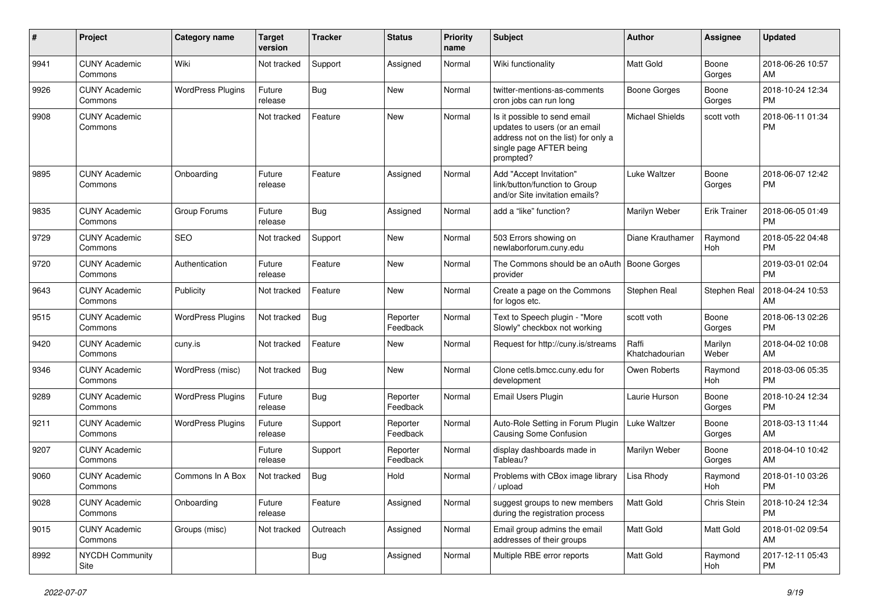| $\#$ | Project                         | <b>Category name</b>     | <b>Target</b><br>version | <b>Tracker</b> | <b>Status</b>        | Priority<br>name | <b>Subject</b>                                                                                                                               | Author                  | <b>Assignee</b>     | <b>Updated</b>                |
|------|---------------------------------|--------------------------|--------------------------|----------------|----------------------|------------------|----------------------------------------------------------------------------------------------------------------------------------------------|-------------------------|---------------------|-------------------------------|
| 9941 | <b>CUNY Academic</b><br>Commons | Wiki                     | Not tracked              | Support        | Assigned             | Normal           | Wiki functionality                                                                                                                           | <b>Matt Gold</b>        | Boone<br>Gorges     | 2018-06-26 10:57<br>AM        |
| 9926 | <b>CUNY Academic</b><br>Commons | <b>WordPress Plugins</b> | Future<br>release        | Bug            | New                  | Normal           | twitter-mentions-as-comments<br>cron jobs can run long                                                                                       | <b>Boone Gorges</b>     | Boone<br>Gorges     | 2018-10-24 12:34<br><b>PM</b> |
| 9908 | <b>CUNY Academic</b><br>Commons |                          | Not tracked              | Feature        | <b>New</b>           | Normal           | Is it possible to send email<br>updates to users (or an email<br>address not on the list) for only a<br>single page AFTER being<br>prompted? | <b>Michael Shields</b>  | scott voth          | 2018-06-11 01:34<br><b>PM</b> |
| 9895 | <b>CUNY Academic</b><br>Commons | Onboarding               | Future<br>release        | Feature        | Assigned             | Normal           | Add "Accept Invitation"<br>link/button/function to Group<br>and/or Site invitation emails?                                                   | <b>Luke Waltzer</b>     | Boone<br>Gorges     | 2018-06-07 12:42<br><b>PM</b> |
| 9835 | <b>CUNY Academic</b><br>Commons | Group Forums             | Future<br>release        | <b>Bug</b>     | Assigned             | Normal           | add a "like" function?                                                                                                                       | Marilyn Weber           | <b>Erik Trainer</b> | 2018-06-05 01:49<br><b>PM</b> |
| 9729 | <b>CUNY Academic</b><br>Commons | <b>SEO</b>               | Not tracked              | Support        | New                  | Normal           | 503 Errors showing on<br>newlaborforum.cuny.edu                                                                                              | Diane Krauthamer        | Raymond<br>Hoh      | 2018-05-22 04:48<br><b>PM</b> |
| 9720 | <b>CUNY Academic</b><br>Commons | Authentication           | Future<br>release        | Feature        | New                  | Normal           | The Commons should be an oAuth<br>provider                                                                                                   | <b>Boone Gorges</b>     |                     | 2019-03-01 02:04<br><b>PM</b> |
| 9643 | <b>CUNY Academic</b><br>Commons | Publicity                | Not tracked              | Feature        | <b>New</b>           | Normal           | Create a page on the Commons<br>for logos etc.                                                                                               | Stephen Real            | Stephen Real        | 2018-04-24 10:53<br>AM        |
| 9515 | <b>CUNY Academic</b><br>Commons | <b>WordPress Plugins</b> | Not tracked              | Bug            | Reporter<br>Feedback | Normal           | Text to Speech plugin - "More<br>Slowly" checkbox not working                                                                                | scott voth              | Boone<br>Gorges     | 2018-06-13 02:26<br><b>PM</b> |
| 9420 | <b>CUNY Academic</b><br>Commons | cuny.is                  | Not tracked              | Feature        | New                  | Normal           | Request for http://cuny.is/streams                                                                                                           | Raffi<br>Khatchadourian | Marilyn<br>Weber    | 2018-04-02 10:08<br>AM        |
| 9346 | <b>CUNY Academic</b><br>Commons | WordPress (misc)         | Not tracked              | <b>Bug</b>     | <b>New</b>           | Normal           | Clone cetls.bmcc.cuny.edu for<br>development                                                                                                 | Owen Roberts            | Raymond<br>Hoh      | 2018-03-06 05:35<br><b>PM</b> |
| 9289 | <b>CUNY Academic</b><br>Commons | <b>WordPress Plugins</b> | Future<br>release        | Bug            | Reporter<br>Feedback | Normal           | Email Users Plugin                                                                                                                           | Laurie Hurson           | Boone<br>Gorges     | 2018-10-24 12:34<br><b>PM</b> |
| 9211 | <b>CUNY Academic</b><br>Commons | <b>WordPress Plugins</b> | Future<br>release        | Support        | Reporter<br>Feedback | Normal           | Auto-Role Setting in Forum Plugin<br><b>Causing Some Confusion</b>                                                                           | Luke Waltzer            | Boone<br>Gorges     | 2018-03-13 11:44<br>AM        |
| 9207 | <b>CUNY Academic</b><br>Commons |                          | Future<br>release        | Support        | Reporter<br>Feedback | Normal           | display dashboards made in<br>Tableau?                                                                                                       | Marilyn Weber           | Boone<br>Gorges     | 2018-04-10 10:42<br>AM        |
| 9060 | <b>CUNY Academic</b><br>Commons | Commons In A Box         | Not tracked              | <b>Bug</b>     | Hold                 | Normal           | Problems with CBox image library<br>/ upload                                                                                                 | Lisa Rhody              | Raymond<br>Hoh      | 2018-01-10 03:26<br><b>PM</b> |
| 9028 | <b>CUNY Academic</b><br>Commons | Onboarding               | Future<br>release        | Feature        | Assigned             | Normal           | suggest groups to new members<br>during the registration process                                                                             | Matt Gold               | Chris Stein         | 2018-10-24 12:34<br><b>PM</b> |
| 9015 | <b>CUNY Academic</b><br>Commons | Groups (misc)            | Not tracked              | Outreach       | Assigned             | Normal           | Email group admins the email<br>addresses of their groups                                                                                    | Matt Gold               | Matt Gold           | 2018-01-02 09:54<br>AM        |
| 8992 | <b>NYCDH Community</b><br>Site  |                          |                          | <b>Bug</b>     | Assigned             | Normal           | Multiple RBE error reports                                                                                                                   | Matt Gold               | Raymond<br>Hoh      | 2017-12-11 05:43<br>PM        |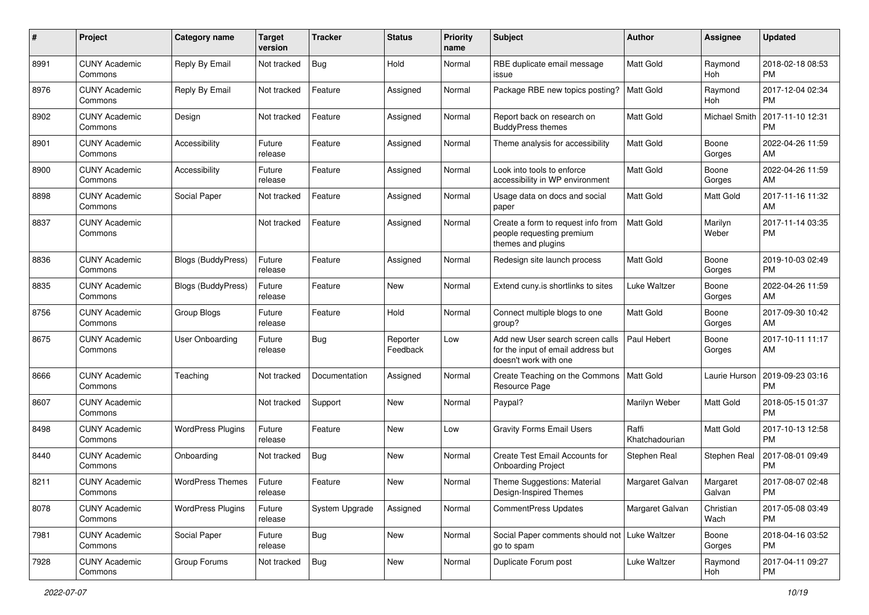| #    | Project                         | <b>Category name</b>      | <b>Target</b><br>version | <b>Tracker</b> | <b>Status</b>        | <b>Priority</b><br>name | <b>Subject</b>                                                                                  | Author                  | <b>Assignee</b>    | <b>Updated</b>                |
|------|---------------------------------|---------------------------|--------------------------|----------------|----------------------|-------------------------|-------------------------------------------------------------------------------------------------|-------------------------|--------------------|-------------------------------|
| 8991 | <b>CUNY Academic</b><br>Commons | Reply By Email            | Not tracked              | <b>Bug</b>     | Hold                 | Normal                  | RBE duplicate email message<br>issue                                                            | <b>Matt Gold</b>        | Raymond<br>Hoh     | 2018-02-18 08:53<br><b>PM</b> |
| 8976 | <b>CUNY Academic</b><br>Commons | Reply By Email            | Not tracked              | Feature        | Assigned             | Normal                  | Package RBE new topics posting?                                                                 | Matt Gold               | Raymond<br>Hoh     | 2017-12-04 02:34<br><b>PM</b> |
| 8902 | <b>CUNY Academic</b><br>Commons | Design                    | Not tracked              | Feature        | Assigned             | Normal                  | Report back on research on<br><b>BuddyPress themes</b>                                          | Matt Gold               | Michael Smith      | 2017-11-10 12:31<br><b>PM</b> |
| 8901 | <b>CUNY Academic</b><br>Commons | Accessibility             | Future<br>release        | Feature        | Assigned             | Normal                  | Theme analysis for accessibility                                                                | <b>Matt Gold</b>        | Boone<br>Gorges    | 2022-04-26 11:59<br>AM        |
| 8900 | <b>CUNY Academic</b><br>Commons | Accessibility             | Future<br>release        | Feature        | Assigned             | Normal                  | Look into tools to enforce<br>accessibility in WP environment                                   | <b>Matt Gold</b>        | Boone<br>Gorges    | 2022-04-26 11:59<br>AM        |
| 8898 | <b>CUNY Academic</b><br>Commons | Social Paper              | Not tracked              | Feature        | Assigned             | Normal                  | Usage data on docs and social<br>paper                                                          | Matt Gold               | Matt Gold          | 2017-11-16 11:32<br>AM        |
| 8837 | <b>CUNY Academic</b><br>Commons |                           | Not tracked              | Feature        | Assigned             | Normal                  | Create a form to request info from<br>people requesting premium<br>themes and plugins           | <b>Matt Gold</b>        | Marilyn<br>Weber   | 2017-11-14 03:35<br>PM        |
| 8836 | <b>CUNY Academic</b><br>Commons | <b>Blogs (BuddyPress)</b> | Future<br>release        | Feature        | Assigned             | Normal                  | Redesign site launch process                                                                    | <b>Matt Gold</b>        | Boone<br>Gorges    | 2019-10-03 02:49<br><b>PM</b> |
| 8835 | <b>CUNY Academic</b><br>Commons | Blogs (BuddyPress)        | Future<br>release        | Feature        | New                  | Normal                  | Extend cuny.is shortlinks to sites                                                              | <b>Luke Waltzer</b>     | Boone<br>Gorges    | 2022-04-26 11:59<br>AM        |
| 8756 | <b>CUNY Academic</b><br>Commons | Group Blogs               | Future<br>release        | Feature        | Hold                 | Normal                  | Connect multiple blogs to one<br>group?                                                         | <b>Matt Gold</b>        | Boone<br>Gorges    | 2017-09-30 10:42<br>AM        |
| 8675 | <b>CUNY Academic</b><br>Commons | User Onboarding           | Future<br>release        | Bug            | Reporter<br>Feedback | Low                     | Add new User search screen calls<br>for the input of email address but<br>doesn't work with one | Paul Hebert             | Boone<br>Gorges    | 2017-10-11 11:17<br>AM        |
| 8666 | <b>CUNY Academic</b><br>Commons | Teaching                  | Not tracked              | Documentation  | Assigned             | Normal                  | Create Teaching on the Commons<br>Resource Page                                                 | Matt Gold               | Laurie Hurson      | 2019-09-23 03:16<br><b>PM</b> |
| 8607 | <b>CUNY Academic</b><br>Commons |                           | Not tracked              | Support        | New                  | Normal                  | Paypal?                                                                                         | Marilyn Weber           | Matt Gold          | 2018-05-15 01:37<br><b>PM</b> |
| 8498 | <b>CUNY Academic</b><br>Commons | <b>WordPress Plugins</b>  | Future<br>release        | Feature        | New                  | Low                     | <b>Gravity Forms Email Users</b>                                                                | Raffi<br>Khatchadourian | Matt Gold          | 2017-10-13 12:58<br><b>PM</b> |
| 8440 | <b>CUNY Academic</b><br>Commons | Onboarding                | Not tracked              | Bug            | New                  | Normal                  | Create Test Email Accounts for<br><b>Onboarding Project</b>                                     | Stephen Real            | Stephen Real       | 2017-08-01 09:49<br><b>PM</b> |
| 8211 | <b>CUNY Academic</b><br>Commons | <b>WordPress Themes</b>   | Future<br>release        | Feature        | New                  | Normal                  | Theme Suggestions: Material<br>Design-Inspired Themes                                           | Margaret Galvan         | Margaret<br>Galvan | 2017-08-07 02:48<br>PM        |
| 8078 | <b>CUNY Academic</b><br>Commons | <b>WordPress Plugins</b>  | Future<br>release        | System Upgrade | Assigned             | Normal                  | CommentPress Updates                                                                            | Margaret Galvan         | Christian<br>Wach  | 2017-05-08 03:49<br>PM        |
| 7981 | <b>CUNY Academic</b><br>Commons | Social Paper              | Future<br>release        | <b>Bug</b>     | New                  | Normal                  | Social Paper comments should not   Luke Waltzer<br>go to spam                                   |                         | Boone<br>Gorges    | 2018-04-16 03:52<br><b>PM</b> |
| 7928 | <b>CUNY Academic</b><br>Commons | Group Forums              | Not tracked              | Bug            | New                  | Normal                  | Duplicate Forum post                                                                            | Luke Waltzer            | Raymond<br>Hoh     | 2017-04-11 09:27<br><b>PM</b> |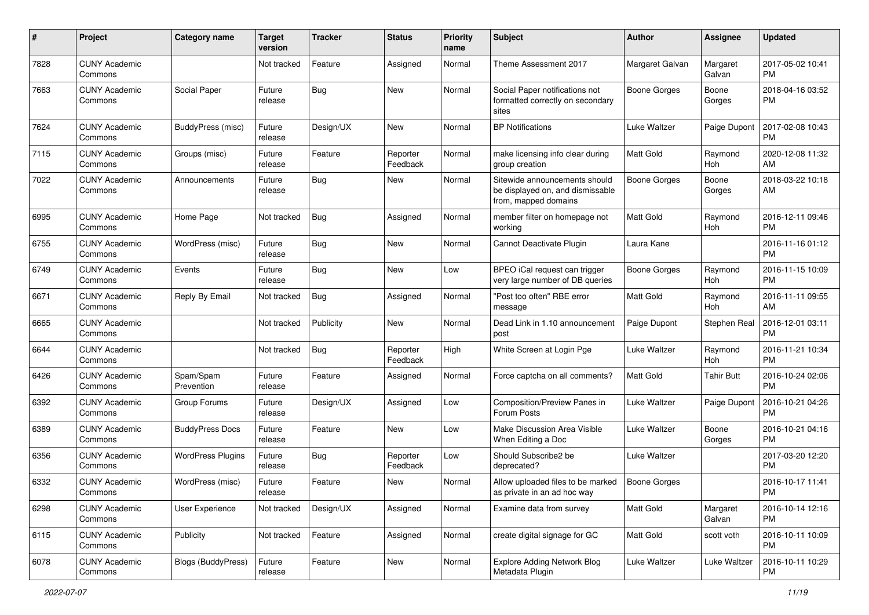| #    | Project                         | <b>Category name</b>     | <b>Target</b><br>version | <b>Tracker</b> | <b>Status</b>        | <b>Priority</b><br>name | <b>Subject</b>                                                                            | Author              | <b>Assignee</b>    | <b>Updated</b>                |
|------|---------------------------------|--------------------------|--------------------------|----------------|----------------------|-------------------------|-------------------------------------------------------------------------------------------|---------------------|--------------------|-------------------------------|
| 7828 | <b>CUNY Academic</b><br>Commons |                          | Not tracked              | Feature        | Assigned             | Normal                  | Theme Assessment 2017                                                                     | Margaret Galvan     | Margaret<br>Galvan | 2017-05-02 10:41<br><b>PM</b> |
| 7663 | <b>CUNY Academic</b><br>Commons | Social Paper             | Future<br>release        | <b>Bug</b>     | New                  | Normal                  | Social Paper notifications not<br>formatted correctly on secondary<br>sites               | <b>Boone Gorges</b> | Boone<br>Gorges    | 2018-04-16 03:52<br><b>PM</b> |
| 7624 | <b>CUNY Academic</b><br>Commons | BuddyPress (misc)        | Future<br>release        | Design/UX      | New                  | Normal                  | <b>BP</b> Notifications                                                                   | Luke Waltzer        | Paige Dupont       | 2017-02-08 10:43<br><b>PM</b> |
| 7115 | <b>CUNY Academic</b><br>Commons | Groups (misc)            | Future<br>release        | Feature        | Reporter<br>Feedback | Normal                  | make licensing info clear during<br>group creation                                        | <b>Matt Gold</b>    | Raymond<br>Hoh     | 2020-12-08 11:32<br>AM        |
| 7022 | <b>CUNY Academic</b><br>Commons | Announcements            | Future<br>release        | Bug            | New                  | Normal                  | Sitewide announcements should<br>be displayed on, and dismissable<br>from, mapped domains | <b>Boone Gorges</b> | Boone<br>Gorges    | 2018-03-22 10:18<br>AM        |
| 6995 | <b>CUNY Academic</b><br>Commons | Home Page                | Not tracked              | <b>Bug</b>     | Assigned             | Normal                  | member filter on homepage not<br>working                                                  | <b>Matt Gold</b>    | Raymond<br>Hoh     | 2016-12-11 09:46<br><b>PM</b> |
| 6755 | <b>CUNY Academic</b><br>Commons | WordPress (misc)         | Future<br>release        | <b>Bug</b>     | New                  | Normal                  | Cannot Deactivate Plugin                                                                  | Laura Kane          |                    | 2016-11-16 01:12<br><b>PM</b> |
| 6749 | <b>CUNY Academic</b><br>Commons | Events                   | Future<br>release        | <b>Bug</b>     | New                  | Low                     | BPEO iCal request can trigger<br>very large number of DB queries                          | <b>Boone Gorges</b> | Raymond<br>Hoh     | 2016-11-15 10:09<br><b>PM</b> |
| 6671 | <b>CUNY Academic</b><br>Commons | Reply By Email           | Not tracked              | <b>Bug</b>     | Assigned             | Normal                  | "Post too often" RBE error<br>message                                                     | Matt Gold           | Raymond<br>Hoh     | 2016-11-11 09:55<br>AM        |
| 6665 | <b>CUNY Academic</b><br>Commons |                          | Not tracked              | Publicity      | New                  | Normal                  | Dead Link in 1.10 announcement<br>post                                                    | Paige Dupont        | Stephen Real       | 2016-12-01 03:11<br><b>PM</b> |
| 6644 | <b>CUNY Academic</b><br>Commons |                          | Not tracked              | <b>Bug</b>     | Reporter<br>Feedback | High                    | White Screen at Login Pge                                                                 | Luke Waltzer        | Raymond<br>Hoh     | 2016-11-21 10:34<br><b>PM</b> |
| 6426 | <b>CUNY Academic</b><br>Commons | Spam/Spam<br>Prevention  | Future<br>release        | Feature        | Assigned             | Normal                  | Force captcha on all comments?                                                            | <b>Matt Gold</b>    | <b>Tahir Butt</b>  | 2016-10-24 02:06<br><b>PM</b> |
| 6392 | <b>CUNY Academic</b><br>Commons | Group Forums             | Future<br>release        | Design/UX      | Assigned             | Low                     | Composition/Preview Panes in<br>Forum Posts                                               | Luke Waltzer        | Paige Dupont       | 2016-10-21 04:26<br><b>PM</b> |
| 6389 | <b>CUNY Academic</b><br>Commons | <b>BuddyPress Docs</b>   | Future<br>release        | Feature        | New                  | Low                     | Make Discussion Area Visible<br>When Editing a Doc                                        | Luke Waltzer        | Boone<br>Gorges    | 2016-10-21 04:16<br><b>PM</b> |
| 6356 | <b>CUNY Academic</b><br>Commons | <b>WordPress Plugins</b> | Future<br>release        | Bug            | Reporter<br>Feedback | Low                     | Should Subscribe2 be<br>deprecated?                                                       | Luke Waltzer        |                    | 2017-03-20 12:20<br><b>PM</b> |
| 6332 | <b>CUNY Academic</b><br>Commons | WordPress (misc)         | Future<br>release        | Feature        | New                  | Normal                  | Allow uploaded files to be marked<br>as private in an ad hoc way                          | Boone Gorges        |                    | 2016-10-17 11:41<br>PM        |
| 6298 | <b>CUNY Academic</b><br>Commons | User Experience          | Not tracked              | Design/UX      | Assigned             | Normal                  | Examine data from survey                                                                  | <b>Matt Gold</b>    | Margaret<br>Galvan | 2016-10-14 12:16<br>PM        |
| 6115 | <b>CUNY Academic</b><br>Commons | Publicity                | Not tracked              | Feature        | Assigned             | Normal                  | create digital signage for GC                                                             | <b>Matt Gold</b>    | scott voth         | 2016-10-11 10:09<br><b>PM</b> |
| 6078 | <b>CUNY Academic</b><br>Commons | Blogs (BuddyPress)       | Future<br>release        | Feature        | New                  | Normal                  | <b>Explore Adding Network Blog</b><br>Metadata Plugin                                     | Luke Waltzer        | Luke Waltzer       | 2016-10-11 10:29<br><b>PM</b> |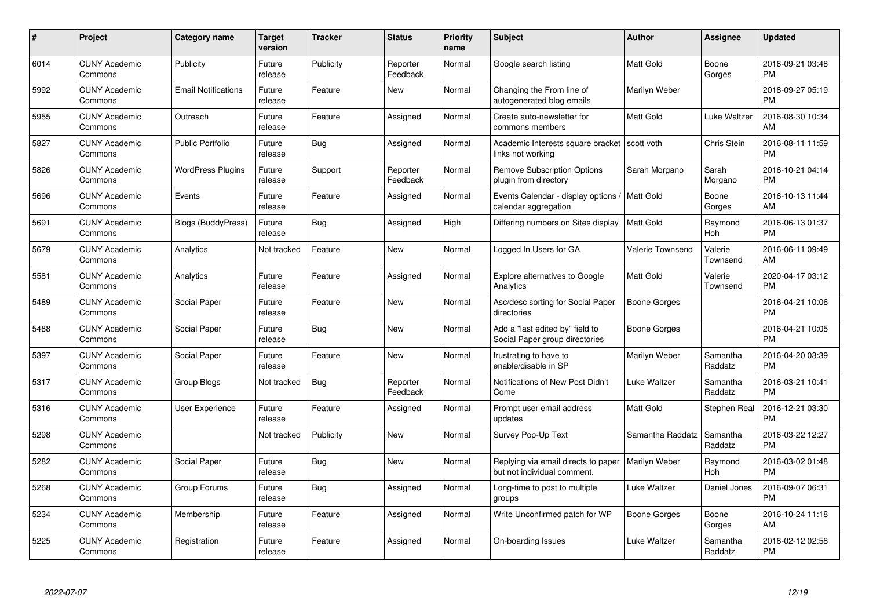| $\#$ | Project                         | <b>Category name</b>       | <b>Target</b><br>version | <b>Tracker</b> | <b>Status</b>        | <b>Priority</b><br>name | <b>Subject</b>                                                                     | <b>Author</b>       | <b>Assignee</b>     | <b>Updated</b>                |
|------|---------------------------------|----------------------------|--------------------------|----------------|----------------------|-------------------------|------------------------------------------------------------------------------------|---------------------|---------------------|-------------------------------|
| 6014 | <b>CUNY Academic</b><br>Commons | Publicity                  | Future<br>release        | Publicity      | Reporter<br>Feedback | Normal                  | Google search listing                                                              | <b>Matt Gold</b>    | Boone<br>Gorges     | 2016-09-21 03:48<br><b>PM</b> |
| 5992 | <b>CUNY Academic</b><br>Commons | <b>Email Notifications</b> | Future<br>release        | Feature        | <b>New</b>           | Normal                  | Changing the From line of<br>autogenerated blog emails                             | Marilyn Weber       |                     | 2018-09-27 05:19<br><b>PM</b> |
| 5955 | <b>CUNY Academic</b><br>Commons | Outreach                   | Future<br>release        | Feature        | Assigned             | Normal                  | Create auto-newsletter for<br>commons members                                      | Matt Gold           | Luke Waltzer        | 2016-08-30 10:34<br>AM        |
| 5827 | <b>CUNY Academic</b><br>Commons | <b>Public Portfolio</b>    | Future<br>release        | <b>Bug</b>     | Assigned             | Normal                  | Academic Interests square bracket<br>links not working                             | scott voth          | Chris Stein         | 2016-08-11 11:59<br><b>PM</b> |
| 5826 | <b>CUNY Academic</b><br>Commons | <b>WordPress Plugins</b>   | Future<br>release        | Support        | Reporter<br>Feedback | Normal                  | <b>Remove Subscription Options</b><br>plugin from directory                        | Sarah Morgano       | Sarah<br>Morgano    | 2016-10-21 04:14<br><b>PM</b> |
| 5696 | <b>CUNY Academic</b><br>Commons | Events                     | Future<br>release        | Feature        | Assigned             | Normal                  | Events Calendar - display options<br>calendar aggregation                          | Matt Gold           | Boone<br>Gorges     | 2016-10-13 11:44<br>AM        |
| 5691 | <b>CUNY Academic</b><br>Commons | <b>Blogs (BuddyPress)</b>  | Future<br>release        | <b>Bug</b>     | Assigned             | High                    | Differing numbers on Sites display                                                 | Matt Gold           | Raymond<br>Hoh      | 2016-06-13 01:37<br><b>PM</b> |
| 5679 | <b>CUNY Academic</b><br>Commons | Analytics                  | Not tracked              | Feature        | <b>New</b>           | Normal                  | Logged In Users for GA                                                             | Valerie Townsend    | Valerie<br>Townsend | 2016-06-11 09:49<br>AM        |
| 5581 | <b>CUNY Academic</b><br>Commons | Analytics                  | Future<br>release        | Feature        | Assigned             | Normal                  | <b>Explore alternatives to Google</b><br>Analytics                                 | <b>Matt Gold</b>    | Valerie<br>Townsend | 2020-04-17 03:12<br><b>PM</b> |
| 5489 | <b>CUNY Academic</b><br>Commons | Social Paper               | Future<br>release        | Feature        | New                  | Normal                  | Asc/desc sorting for Social Paper<br>directories                                   | <b>Boone Gorges</b> |                     | 2016-04-21 10:06<br><b>PM</b> |
| 5488 | <b>CUNY Academic</b><br>Commons | Social Paper               | Future<br>release        | <b>Bug</b>     | <b>New</b>           | Normal                  | Add a "last edited by" field to<br>Social Paper group directories                  | Boone Gorges        |                     | 2016-04-21 10:05<br><b>PM</b> |
| 5397 | <b>CUNY Academic</b><br>Commons | Social Paper               | Future<br>release        | Feature        | <b>New</b>           | Normal                  | frustrating to have to<br>enable/disable in SP                                     | Marilyn Weber       | Samantha<br>Raddatz | 2016-04-20 03:39<br><b>PM</b> |
| 5317 | <b>CUNY Academic</b><br>Commons | Group Blogs                | Not tracked              | Bug            | Reporter<br>Feedback | Normal                  | Notifications of New Post Didn't<br>Come                                           | Luke Waltzer        | Samantha<br>Raddatz | 2016-03-21 10:41<br><b>PM</b> |
| 5316 | <b>CUNY Academic</b><br>Commons | <b>User Experience</b>     | Future<br>release        | Feature        | Assigned             | Normal                  | Prompt user email address<br>updates                                               | Matt Gold           | Stephen Real        | 2016-12-21 03:30<br><b>PM</b> |
| 5298 | <b>CUNY Academic</b><br>Commons |                            | Not tracked              | Publicity      | <b>New</b>           | Normal                  | Survey Pop-Up Text                                                                 | Samantha Raddatz    | Samantha<br>Raddatz | 2016-03-22 12:27<br><b>PM</b> |
| 5282 | <b>CUNY Academic</b><br>Commons | Social Paper               | Future<br>release        | Bug            | <b>New</b>           | Normal                  | Replying via email directs to paper   Marilyn Weber<br>but not individual comment. |                     | Raymond<br>Hoh      | 2016-03-02 01:48<br><b>PM</b> |
| 5268 | <b>CUNY Academic</b><br>Commons | Group Forums               | Future<br>release        | Bug            | Assigned             | Normal                  | Long-time to post to multiple<br>groups                                            | Luke Waltzer        | Daniel Jones        | 2016-09-07 06:31<br><b>PM</b> |
| 5234 | <b>CUNY Academic</b><br>Commons | Membership                 | Future<br>release        | Feature        | Assigned             | Normal                  | Write Unconfirmed patch for WP                                                     | Boone Gorges        | Boone<br>Gorges     | 2016-10-24 11:18<br>AM        |
| 5225 | CUNY Academic<br>Commons        | Registration               | Future<br>release        | Feature        | Assigned             | Normal                  | On-boarding Issues                                                                 | Luke Waltzer        | Samantha<br>Raddatz | 2016-02-12 02:58<br><b>PM</b> |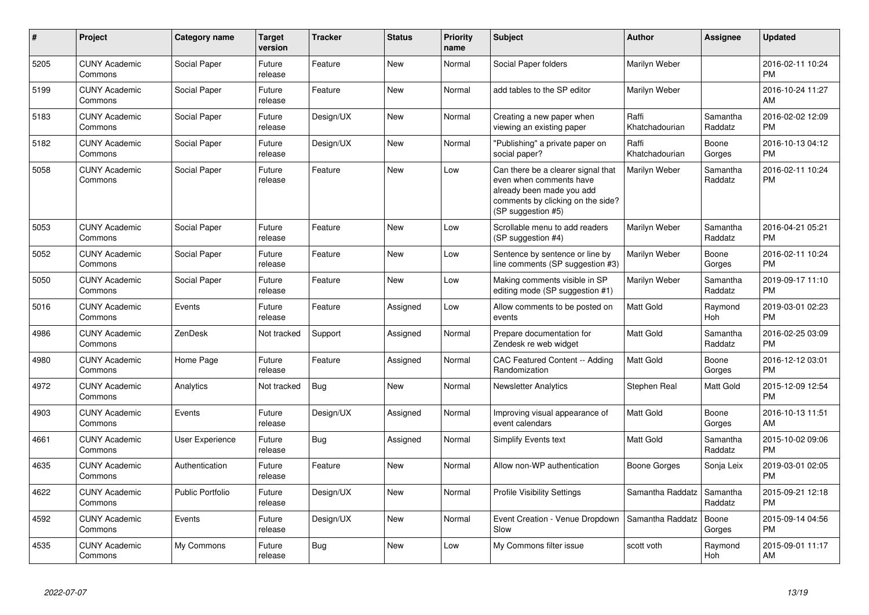| #    | Project                         | <b>Category name</b>    | <b>Target</b><br>version | <b>Tracker</b> | <b>Status</b> | <b>Priority</b><br>name | <b>Subject</b>                                                                                                                                        | <b>Author</b>           | Assignee            | <b>Updated</b>                |
|------|---------------------------------|-------------------------|--------------------------|----------------|---------------|-------------------------|-------------------------------------------------------------------------------------------------------------------------------------------------------|-------------------------|---------------------|-------------------------------|
| 5205 | <b>CUNY Academic</b><br>Commons | Social Paper            | Future<br>release        | Feature        | <b>New</b>    | Normal                  | Social Paper folders                                                                                                                                  | Marilyn Weber           |                     | 2016-02-11 10:24<br><b>PM</b> |
| 5199 | <b>CUNY Academic</b><br>Commons | Social Paper            | Future<br>release        | Feature        | <b>New</b>    | Normal                  | add tables to the SP editor                                                                                                                           | Marilyn Weber           |                     | 2016-10-24 11:27<br>AM        |
| 5183 | <b>CUNY Academic</b><br>Commons | Social Paper            | Future<br>release        | Design/UX      | New           | Normal                  | Creating a new paper when<br>viewing an existing paper                                                                                                | Raffi<br>Khatchadourian | Samantha<br>Raddatz | 2016-02-02 12:09<br><b>PM</b> |
| 5182 | <b>CUNY Academic</b><br>Commons | Social Paper            | Future<br>release        | Design/UX      | New           | Normal                  | "Publishing" a private paper on<br>social paper?                                                                                                      | Raffi<br>Khatchadourian | Boone<br>Gorges     | 2016-10-13 04:12<br><b>PM</b> |
| 5058 | <b>CUNY Academic</b><br>Commons | Social Paper            | Future<br>release        | Feature        | New           | Low                     | Can there be a clearer signal that<br>even when comments have<br>already been made you add<br>comments by clicking on the side?<br>(SP suggestion #5) | Marilyn Weber           | Samantha<br>Raddatz | 2016-02-11 10:24<br><b>PM</b> |
| 5053 | <b>CUNY Academic</b><br>Commons | Social Paper            | Future<br>release        | Feature        | New           | Low                     | Scrollable menu to add readers<br>(SP suggestion #4)                                                                                                  | Marilyn Weber           | Samantha<br>Raddatz | 2016-04-21 05:21<br><b>PM</b> |
| 5052 | <b>CUNY Academic</b><br>Commons | Social Paper            | Future<br>release        | Feature        | New           | Low                     | Sentence by sentence or line by<br>line comments (SP suggestion #3)                                                                                   | Marilyn Weber           | Boone<br>Gorges     | 2016-02-11 10:24<br><b>PM</b> |
| 5050 | <b>CUNY Academic</b><br>Commons | Social Paper            | Future<br>release        | Feature        | New           | Low                     | Making comments visible in SP<br>editing mode (SP suggestion #1)                                                                                      | Marilyn Weber           | Samantha<br>Raddatz | 2019-09-17 11:10<br><b>PM</b> |
| 5016 | <b>CUNY Academic</b><br>Commons | Events                  | Future<br>release        | Feature        | Assigned      | Low                     | Allow comments to be posted on<br>events                                                                                                              | <b>Matt Gold</b>        | Raymond<br>Hoh      | 2019-03-01 02:23<br><b>PM</b> |
| 4986 | <b>CUNY Academic</b><br>Commons | ZenDesk                 | Not tracked              | Support        | Assigned      | Normal                  | Prepare documentation for<br>Zendesk re web widget                                                                                                    | <b>Matt Gold</b>        | Samantha<br>Raddatz | 2016-02-25 03:09<br><b>PM</b> |
| 4980 | <b>CUNY Academic</b><br>Commons | Home Page               | Future<br>release        | Feature        | Assigned      | Normal                  | CAC Featured Content -- Adding<br>Randomization                                                                                                       | Matt Gold               | Boone<br>Gorges     | 2016-12-12 03:01<br><b>PM</b> |
| 4972 | <b>CUNY Academic</b><br>Commons | Analytics               | Not tracked              | <b>Bug</b>     | New           | Normal                  | <b>Newsletter Analytics</b>                                                                                                                           | Stephen Real            | Matt Gold           | 2015-12-09 12:54<br><b>PM</b> |
| 4903 | <b>CUNY Academic</b><br>Commons | Events                  | Future<br>release        | Design/UX      | Assigned      | Normal                  | Improving visual appearance of<br>event calendars                                                                                                     | Matt Gold               | Boone<br>Gorges     | 2016-10-13 11:51<br>AM        |
| 4661 | <b>CUNY Academic</b><br>Commons | User Experience         | Future<br>release        | <b>Bug</b>     | Assigned      | Normal                  | Simplify Events text                                                                                                                                  | Matt Gold               | Samantha<br>Raddatz | 2015-10-02 09:06<br><b>PM</b> |
| 4635 | <b>CUNY Academic</b><br>Commons | Authentication          | Future<br>release        | Feature        | <b>New</b>    | Normal                  | Allow non-WP authentication                                                                                                                           | Boone Gorges            | Sonja Leix          | 2019-03-01 02:05<br><b>PM</b> |
| 4622 | <b>CUNY Academic</b><br>Commons | <b>Public Portfolio</b> | Future<br>release        | Design/UX      | <b>New</b>    | Normal                  | <b>Profile Visibility Settings</b>                                                                                                                    | Samantha Raddatz        | Samantha<br>Raddatz | 2015-09-21 12:18<br><b>PM</b> |
| 4592 | <b>CUNY Academic</b><br>Commons | Events                  | Future<br>release        | Design/UX      | <b>New</b>    | Normal                  | Event Creation - Venue Dropdown<br>Slow                                                                                                               | Samantha Raddatz        | Boone<br>Gorges     | 2015-09-14 04:56<br><b>PM</b> |
| 4535 | <b>CUNY Academic</b><br>Commons | My Commons              | Future<br>release        | <b>Bug</b>     | <b>New</b>    | Low                     | My Commons filter issue                                                                                                                               | scott voth              | Raymond<br>Hoh      | 2015-09-01 11:17<br>AM        |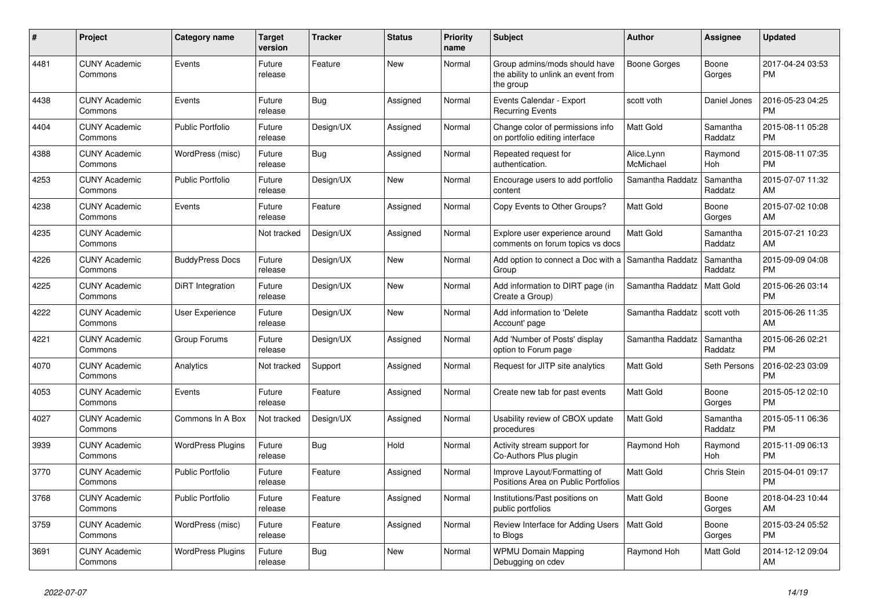| $\vert$ # | <b>Project</b>                  | Category name            | <b>Target</b><br>version | <b>Tracker</b> | <b>Status</b> | <b>Priority</b><br>name | <b>Subject</b>                                                                    | Author                  | Assignee            | <b>Updated</b>                |
|-----------|---------------------------------|--------------------------|--------------------------|----------------|---------------|-------------------------|-----------------------------------------------------------------------------------|-------------------------|---------------------|-------------------------------|
| 4481      | <b>CUNY Academic</b><br>Commons | Events                   | Future<br>release        | Feature        | New           | Normal                  | Group admins/mods should have<br>the ability to unlink an event from<br>the group | Boone Gorges            | Boone<br>Gorges     | 2017-04-24 03:53<br><b>PM</b> |
| 4438      | <b>CUNY Academic</b><br>Commons | Events                   | Future<br>release        | Bug            | Assigned      | Normal                  | Events Calendar - Export<br><b>Recurring Events</b>                               | scott voth              | Daniel Jones        | 2016-05-23 04:25<br><b>PM</b> |
| 4404      | <b>CUNY Academic</b><br>Commons | <b>Public Portfolio</b>  | Future<br>release        | Design/UX      | Assigned      | Normal                  | Change color of permissions info<br>on portfolio editing interface                | <b>Matt Gold</b>        | Samantha<br>Raddatz | 2015-08-11 05:28<br><b>PM</b> |
| 4388      | <b>CUNY Academic</b><br>Commons | WordPress (misc)         | Future<br>release        | Bug            | Assigned      | Normal                  | Repeated request for<br>authentication.                                           | Alice.Lynn<br>McMichael | Raymond<br>Hoh      | 2015-08-11 07:35<br><b>PM</b> |
| 4253      | <b>CUNY Academic</b><br>Commons | <b>Public Portfolio</b>  | Future<br>release        | Design/UX      | New           | Normal                  | Encourage users to add portfolio<br>content                                       | Samantha Raddatz        | Samantha<br>Raddatz | 2015-07-07 11:32<br>AM        |
| 4238      | <b>CUNY Academic</b><br>Commons | Events                   | Future<br>release        | Feature        | Assigned      | Normal                  | Copy Events to Other Groups?                                                      | <b>Matt Gold</b>        | Boone<br>Gorges     | 2015-07-02 10:08<br>AM        |
| 4235      | <b>CUNY Academic</b><br>Commons |                          | Not tracked              | Design/UX      | Assigned      | Normal                  | Explore user experience around<br>comments on forum topics vs docs                | Matt Gold               | Samantha<br>Raddatz | 2015-07-21 10:23<br>AM        |
| 4226      | <b>CUNY Academic</b><br>Commons | <b>BuddyPress Docs</b>   | Future<br>release        | Design/UX      | New           | Normal                  | Add option to connect a Doc with a Samantha Raddatz<br>Group                      |                         | Samantha<br>Raddatz | 2015-09-09 04:08<br><b>PM</b> |
| 4225      | <b>CUNY Academic</b><br>Commons | <b>DiRT</b> Integration  | Future<br>release        | Design/UX      | <b>New</b>    | Normal                  | Add information to DIRT page (in<br>Create a Group)                               | Samantha Raddatz        | <b>Matt Gold</b>    | 2015-06-26 03:14<br><b>PM</b> |
| 4222      | <b>CUNY Academic</b><br>Commons | User Experience          | Future<br>release        | Design/UX      | <b>New</b>    | Normal                  | Add information to 'Delete<br>Account' page                                       | Samantha Raddatz        | scott voth          | 2015-06-26 11:35<br>AM        |
| 4221      | <b>CUNY Academic</b><br>Commons | Group Forums             | Future<br>release        | Design/UX      | Assigned      | Normal                  | Add 'Number of Posts' display<br>option to Forum page                             | Samantha Raddatz        | Samantha<br>Raddatz | 2015-06-26 02:21<br><b>PM</b> |
| 4070      | <b>CUNY Academic</b><br>Commons | Analytics                | Not tracked              | Support        | Assigned      | Normal                  | Request for JITP site analytics                                                   | <b>Matt Gold</b>        | Seth Persons        | 2016-02-23 03:09<br><b>PM</b> |
| 4053      | <b>CUNY Academic</b><br>Commons | Events                   | Future<br>release        | Feature        | Assigned      | Normal                  | Create new tab for past events                                                    | <b>Matt Gold</b>        | Boone<br>Gorges     | 2015-05-12 02:10<br><b>PM</b> |
| 4027      | <b>CUNY Academic</b><br>Commons | Commons In A Box         | Not tracked              | Design/UX      | Assigned      | Normal                  | Usability review of CBOX update<br>procedures                                     | <b>Matt Gold</b>        | Samantha<br>Raddatz | 2015-05-11 06:36<br><b>PM</b> |
| 3939      | <b>CUNY Academic</b><br>Commons | <b>WordPress Plugins</b> | Future<br>release        | Bug            | Hold          | Normal                  | Activity stream support for<br>Co-Authors Plus plugin                             | Raymond Hoh             | Raymond<br>Hoh      | 2015-11-09 06:13<br><b>PM</b> |
| 3770      | <b>CUNY Academic</b><br>Commons | Public Portfolio         | Future<br>release        | Feature        | Assigned      | Normal                  | Improve Layout/Formatting of<br>Positions Area on Public Portfolios               | <b>Matt Gold</b>        | Chris Stein         | 2015-04-01 09:17<br><b>PM</b> |
| 3768      | <b>CUNY Academic</b><br>Commons | <b>Public Portfolio</b>  | Future<br>release        | Feature        | Assigned      | Normal                  | Institutions/Past positions on<br>public portfolios                               | Matt Gold               | Boone<br>Gorges     | 2018-04-23 10:44<br>AM        |
| 3759      | <b>CUNY Academic</b><br>Commons | WordPress (misc)         | Future<br>release        | Feature        | Assigned      | Normal                  | Review Interface for Adding Users   Matt Gold<br>to Blogs                         |                         | Boone<br>Gorges     | 2015-03-24 05:52<br><b>PM</b> |
| 3691      | <b>CUNY Academic</b><br>Commons | <b>WordPress Plugins</b> | Future<br>release        | Bug            | <b>New</b>    | Normal                  | <b>WPMU Domain Mapping</b><br>Debugging on cdev                                   | Raymond Hoh             | Matt Gold           | 2014-12-12 09:04<br>AM        |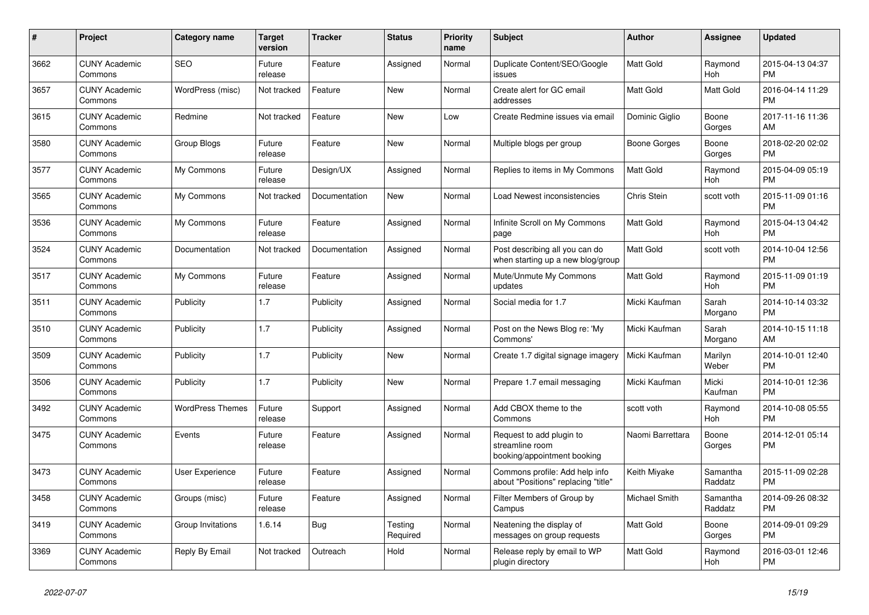| $\pmb{\#}$ | <b>Project</b>                  | Category name           | <b>Target</b><br>version | <b>Tracker</b> | <b>Status</b>       | <b>Priority</b><br>name | <b>Subject</b>                                                             | <b>Author</b>        | Assignee            | <b>Updated</b>                |
|------------|---------------------------------|-------------------------|--------------------------|----------------|---------------------|-------------------------|----------------------------------------------------------------------------|----------------------|---------------------|-------------------------------|
| 3662       | <b>CUNY Academic</b><br>Commons | <b>SEO</b>              | Future<br>release        | Feature        | Assigned            | Normal                  | Duplicate Content/SEO/Google<br>issues                                     | <b>Matt Gold</b>     | Raymond<br>Hoh      | 2015-04-13 04:37<br><b>PM</b> |
| 3657       | <b>CUNY Academic</b><br>Commons | WordPress (misc)        | Not tracked              | Feature        | New                 | Normal                  | Create alert for GC email<br>addresses                                     | <b>Matt Gold</b>     | Matt Gold           | 2016-04-14 11:29<br><b>PM</b> |
| 3615       | <b>CUNY Academic</b><br>Commons | Redmine                 | Not tracked              | Feature        | <b>New</b>          | Low                     | Create Redmine issues via email                                            | Dominic Giglio       | Boone<br>Gorges     | 2017-11-16 11:36<br>AM        |
| 3580       | <b>CUNY Academic</b><br>Commons | Group Blogs             | Future<br>release        | Feature        | New                 | Normal                  | Multiple blogs per group                                                   | Boone Gorges         | Boone<br>Gorges     | 2018-02-20 02:02<br><b>PM</b> |
| 3577       | <b>CUNY Academic</b><br>Commons | My Commons              | Future<br>release        | Design/UX      | Assigned            | Normal                  | Replies to items in My Commons                                             | <b>Matt Gold</b>     | Raymond<br>Hoh      | 2015-04-09 05:19<br><b>PM</b> |
| 3565       | <b>CUNY Academic</b><br>Commons | My Commons              | Not tracked              | Documentation  | New                 | Normal                  | Load Newest inconsistencies                                                | Chris Stein          | scott voth          | 2015-11-09 01:16<br><b>PM</b> |
| 3536       | <b>CUNY Academic</b><br>Commons | My Commons              | Future<br>release        | Feature        | Assigned            | Normal                  | Infinite Scroll on My Commons<br>page                                      | <b>Matt Gold</b>     | Raymond<br>Hoh      | 2015-04-13 04:42<br><b>PM</b> |
| 3524       | <b>CUNY Academic</b><br>Commons | Documentation           | Not tracked              | Documentation  | Assigned            | Normal                  | Post describing all you can do<br>when starting up a new blog/group        | <b>Matt Gold</b>     | scott voth          | 2014-10-04 12:56<br><b>PM</b> |
| 3517       | <b>CUNY Academic</b><br>Commons | My Commons              | Future<br>release        | Feature        | Assigned            | Normal                  | Mute/Unmute My Commons<br>updates                                          | Matt Gold            | Raymond<br>Hoh      | 2015-11-09 01:19<br><b>PM</b> |
| 3511       | <b>CUNY Academic</b><br>Commons | Publicity               | 1.7                      | Publicity      | Assigned            | Normal                  | Social media for 1.7                                                       | Micki Kaufman        | Sarah<br>Morgano    | 2014-10-14 03:32<br><b>PM</b> |
| 3510       | <b>CUNY Academic</b><br>Commons | Publicity               | 1.7                      | Publicity      | Assigned            | Normal                  | Post on the News Blog re: 'My<br>Commons'                                  | Micki Kaufman        | Sarah<br>Morgano    | 2014-10-15 11:18<br>AM        |
| 3509       | <b>CUNY Academic</b><br>Commons | Publicity               | 1.7                      | Publicity      | New                 | Normal                  | Create 1.7 digital signage imagery                                         | Micki Kaufman        | Marilyn<br>Weber    | 2014-10-01 12:40<br><b>PM</b> |
| 3506       | <b>CUNY Academic</b><br>Commons | Publicity               | 1.7                      | Publicity      | New                 | Normal                  | Prepare 1.7 email messaging                                                | Micki Kaufman        | Micki<br>Kaufman    | 2014-10-01 12:36<br><b>PM</b> |
| 3492       | <b>CUNY Academic</b><br>Commons | <b>WordPress Themes</b> | Future<br>release        | Support        | Assigned            | Normal                  | Add CBOX theme to the<br>Commons                                           | scott voth           | Raymond<br>Hoh      | 2014-10-08 05:55<br><b>PM</b> |
| 3475       | <b>CUNY Academic</b><br>Commons | Events                  | Future<br>release        | Feature        | Assigned            | Normal                  | Request to add plugin to<br>streamline room<br>booking/appointment booking | Naomi Barrettara     | Boone<br>Gorges     | 2014-12-01 05:14<br>PM        |
| 3473       | <b>CUNY Academic</b><br>Commons | <b>User Experience</b>  | Future<br>release        | Feature        | Assigned            | Normal                  | Commons profile: Add help info<br>about "Positions" replacing "title"      | Keith Miyake         | Samantha<br>Raddatz | 2015-11-09 02:28<br><b>PM</b> |
| 3458       | <b>CUNY Academic</b><br>Commons | Groups (misc)           | Future<br>release        | Feature        | Assigned            | Normal                  | Filter Members of Group by<br>Campus                                       | <b>Michael Smith</b> | Samantha<br>Raddatz | 2014-09-26 08:32<br><b>PM</b> |
| 3419       | <b>CUNY Academic</b><br>Commons | Group Invitations       | 1.6.14                   | <b>Bug</b>     | Testing<br>Required | Normal                  | Neatening the display of<br>messages on group requests                     | Matt Gold            | Boone<br>Gorges     | 2014-09-01 09:29<br><b>PM</b> |
| 3369       | <b>CUNY Academic</b><br>Commons | Reply By Email          | Not tracked              | Outreach       | Hold                | Normal                  | Release reply by email to WP<br>plugin directory                           | <b>Matt Gold</b>     | Raymond<br>Hoh      | 2016-03-01 12:46<br><b>PM</b> |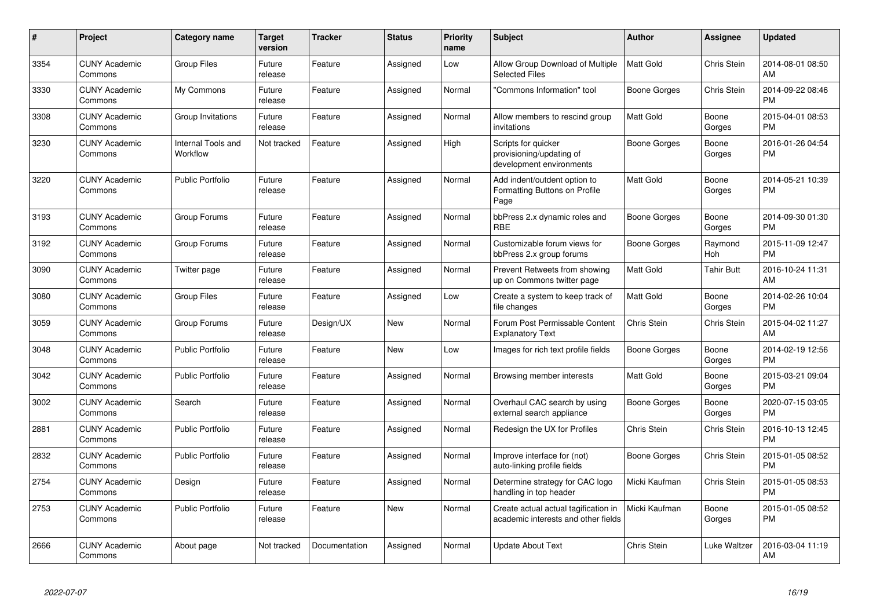| #    | <b>Project</b>                  | Category name                  | <b>Target</b><br>version | <b>Tracker</b> | <b>Status</b> | <b>Priority</b><br>name | <b>Subject</b>                                                              | <b>Author</b>       | <b>Assignee</b>   | <b>Updated</b>                |
|------|---------------------------------|--------------------------------|--------------------------|----------------|---------------|-------------------------|-----------------------------------------------------------------------------|---------------------|-------------------|-------------------------------|
| 3354 | <b>CUNY Academic</b><br>Commons | <b>Group Files</b>             | Future<br>release        | Feature        | Assigned      | Low                     | Allow Group Download of Multiple<br><b>Selected Files</b>                   | <b>Matt Gold</b>    | Chris Stein       | 2014-08-01 08:50<br>AM        |
| 3330 | <b>CUNY Academic</b><br>Commons | My Commons                     | Future<br>release        | Feature        | Assigned      | Normal                  | "Commons Information" tool                                                  | Boone Gorges        | Chris Stein       | 2014-09-22 08:46<br><b>PM</b> |
| 3308 | <b>CUNY Academic</b><br>Commons | Group Invitations              | Future<br>release        | Feature        | Assigned      | Normal                  | Allow members to rescind group<br>invitations                               | Matt Gold           | Boone<br>Gorges   | 2015-04-01 08:53<br><b>PM</b> |
| 3230 | <b>CUNY Academic</b><br>Commons | Internal Tools and<br>Workflow | Not tracked              | Feature        | Assigned      | High                    | Scripts for quicker<br>provisioning/updating of<br>development environments | Boone Gorges        | Boone<br>Gorges   | 2016-01-26 04:54<br><b>PM</b> |
| 3220 | <b>CUNY Academic</b><br>Commons | <b>Public Portfolio</b>        | Future<br>release        | Feature        | Assigned      | Normal                  | Add indent/outdent option to<br>Formatting Buttons on Profile<br>Page       | Matt Gold           | Boone<br>Gorges   | 2014-05-21 10:39<br><b>PM</b> |
| 3193 | <b>CUNY Academic</b><br>Commons | Group Forums                   | Future<br>release        | Feature        | Assigned      | Normal                  | bbPress 2.x dynamic roles and<br><b>RBE</b>                                 | Boone Gorges        | Boone<br>Gorges   | 2014-09-30 01:30<br><b>PM</b> |
| 3192 | <b>CUNY Academic</b><br>Commons | Group Forums                   | Future<br>release        | Feature        | Assigned      | Normal                  | Customizable forum views for<br>bbPress 2.x group forums                    | Boone Gorges        | Raymond<br>Hoh    | 2015-11-09 12:47<br><b>PM</b> |
| 3090 | <b>CUNY Academic</b><br>Commons | Twitter page                   | Future<br>release        | Feature        | Assigned      | Normal                  | Prevent Retweets from showing<br>up on Commons twitter page                 | Matt Gold           | <b>Tahir Butt</b> | 2016-10-24 11:31<br>AM        |
| 3080 | <b>CUNY Academic</b><br>Commons | <b>Group Files</b>             | Future<br>release        | Feature        | Assigned      | Low                     | Create a system to keep track of<br>file changes                            | Matt Gold           | Boone<br>Gorges   | 2014-02-26 10:04<br><b>PM</b> |
| 3059 | <b>CUNY Academic</b><br>Commons | Group Forums                   | Future<br>release        | Design/UX      | New           | Normal                  | Forum Post Permissable Content<br><b>Explanatory Text</b>                   | Chris Stein         | Chris Stein       | 2015-04-02 11:27<br>AM        |
| 3048 | <b>CUNY Academic</b><br>Commons | <b>Public Portfolio</b>        | Future<br>release        | Feature        | New           | Low                     | Images for rich text profile fields                                         | <b>Boone Gorges</b> | Boone<br>Gorges   | 2014-02-19 12:56<br><b>PM</b> |
| 3042 | <b>CUNY Academic</b><br>Commons | Public Portfolio               | Future<br>release        | Feature        | Assigned      | Normal                  | Browsing member interests                                                   | <b>Matt Gold</b>    | Boone<br>Gorges   | 2015-03-21 09:04<br><b>PM</b> |
| 3002 | <b>CUNY Academic</b><br>Commons | Search                         | Future<br>release        | Feature        | Assigned      | Normal                  | Overhaul CAC search by using<br>external search appliance                   | Boone Gorges        | Boone<br>Gorges   | 2020-07-15 03:05<br><b>PM</b> |
| 2881 | <b>CUNY Academic</b><br>Commons | <b>Public Portfolio</b>        | Future<br>release        | Feature        | Assigned      | Normal                  | Redesign the UX for Profiles                                                | Chris Stein         | Chris Stein       | 2016-10-13 12:45<br><b>PM</b> |
| 2832 | <b>CUNY Academic</b><br>Commons | <b>Public Portfolio</b>        | Future<br>release        | Feature        | Assigned      | Normal                  | Improve interface for (not)<br>auto-linking profile fields                  | <b>Boone Gorges</b> | Chris Stein       | 2015-01-05 08:52<br><b>PM</b> |
| 2754 | <b>CUNY Academic</b><br>Commons | Design                         | Future<br>release        | Feature        | Assigned      | Normal                  | Determine strategy for CAC logo<br>handling in top header                   | Micki Kaufman       | Chris Stein       | 2015-01-05 08:53<br><b>PM</b> |
| 2753 | <b>CUNY Academic</b><br>Commons | <b>Public Portfolio</b>        | Future<br>release        | Feature        | New           | Normal                  | Create actual actual tagification in<br>academic interests and other fields | Micki Kaufman       | Boone<br>Gorges   | 2015-01-05 08:52<br><b>PM</b> |
| 2666 | <b>CUNY Academic</b><br>Commons | About page                     | Not tracked              | Documentation  | Assigned      | Normal                  | Update About Text                                                           | Chris Stein         | Luke Waltzer      | 2016-03-04 11:19<br>AM        |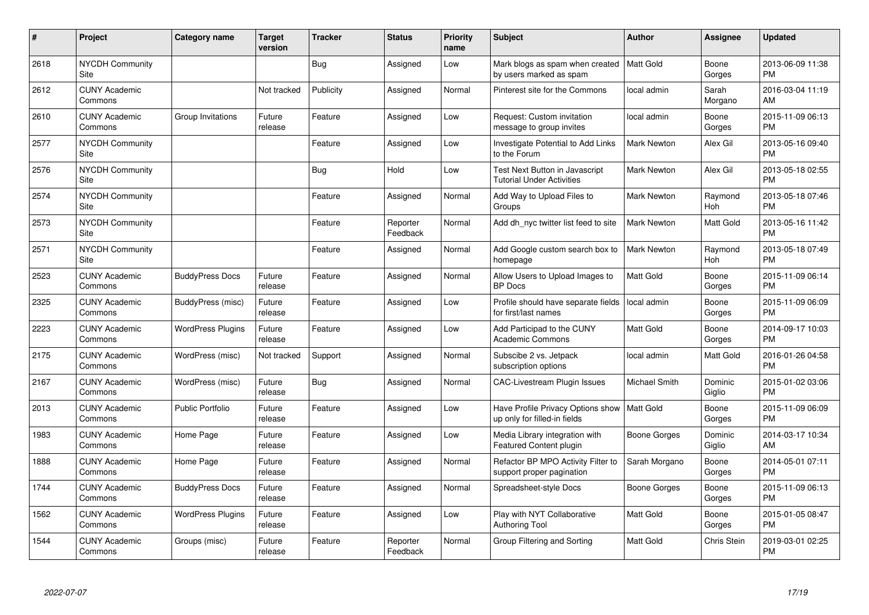| #    | Project                         | Category name            | <b>Target</b><br>version | <b>Tracker</b> | <b>Status</b>        | <b>Priority</b><br>name | Subject                                                                       | Author             | <b>Assignee</b>   | <b>Updated</b>                |
|------|---------------------------------|--------------------------|--------------------------|----------------|----------------------|-------------------------|-------------------------------------------------------------------------------|--------------------|-------------------|-------------------------------|
| 2618 | <b>NYCDH Community</b><br>Site  |                          |                          | <b>Bug</b>     | Assigned             | Low                     | Mark blogs as spam when created   Matt Gold<br>by users marked as spam        |                    | Boone<br>Gorges   | 2013-06-09 11:38<br><b>PM</b> |
| 2612 | <b>CUNY Academic</b><br>Commons |                          | Not tracked              | Publicity      | Assigned             | Normal                  | Pinterest site for the Commons                                                | local admin        | Sarah<br>Morgano  | 2016-03-04 11:19<br>AM        |
| 2610 | <b>CUNY Academic</b><br>Commons | Group Invitations        | Future<br>release        | Feature        | Assigned             | Low                     | Request: Custom invitation<br>message to group invites                        | local admin        | Boone<br>Gorges   | 2015-11-09 06:13<br><b>PM</b> |
| 2577 | <b>NYCDH Community</b><br>Site  |                          |                          | Feature        | Assigned             | Low                     | Investigate Potential to Add Links<br>to the Forum                            | <b>Mark Newton</b> | Alex Gil          | 2013-05-16 09:40<br><b>PM</b> |
| 2576 | <b>NYCDH Community</b><br>Site  |                          |                          | Bug            | Hold                 | Low                     | <b>Test Next Button in Javascript</b><br><b>Tutorial Under Activities</b>     | <b>Mark Newton</b> | Alex Gil          | 2013-05-18 02:55<br><b>PM</b> |
| 2574 | <b>NYCDH Community</b><br>Site  |                          |                          | Feature        | Assigned             | Normal                  | Add Way to Upload Files to<br>Groups                                          | Mark Newton        | Raymond<br>Hoh    | 2013-05-18 07:46<br><b>PM</b> |
| 2573 | <b>NYCDH Community</b><br>Site  |                          |                          | Feature        | Reporter<br>Feedback | Normal                  | Add dh nyc twitter list feed to site                                          | Mark Newton        | Matt Gold         | 2013-05-16 11:42<br><b>PM</b> |
| 2571 | <b>NYCDH Community</b><br>Site  |                          |                          | Feature        | Assigned             | Normal                  | Add Google custom search box to<br>homepage                                   | <b>Mark Newton</b> | Raymond<br>Hoh    | 2013-05-18 07:49<br><b>PM</b> |
| 2523 | <b>CUNY Academic</b><br>Commons | <b>BuddyPress Docs</b>   | Future<br>release        | Feature        | Assigned             | Normal                  | Allow Users to Upload Images to<br><b>BP</b> Docs                             | <b>Matt Gold</b>   | Boone<br>Gorges   | 2015-11-09 06:14<br><b>PM</b> |
| 2325 | <b>CUNY Academic</b><br>Commons | BuddyPress (misc)        | Future<br>release        | Feature        | Assigned             | Low                     | Profile should have separate fields<br>for first/last names                   | local admin        | Boone<br>Gorges   | 2015-11-09 06:09<br><b>PM</b> |
| 2223 | <b>CUNY Academic</b><br>Commons | <b>WordPress Plugins</b> | Future<br>release        | Feature        | Assigned             | Low                     | Add Participad to the CUNY<br><b>Academic Commons</b>                         | <b>Matt Gold</b>   | Boone<br>Gorges   | 2014-09-17 10:03<br><b>PM</b> |
| 2175 | <b>CUNY Academic</b><br>Commons | WordPress (misc)         | Not tracked              | Support        | Assigned             | Normal                  | Subscibe 2 vs. Jetpack<br>subscription options                                | local admin        | Matt Gold         | 2016-01-26 04:58<br><b>PM</b> |
| 2167 | <b>CUNY Academic</b><br>Commons | WordPress (misc)         | Future<br>release        | Bug            | Assigned             | Normal                  | CAC-Livestream Plugin Issues                                                  | Michael Smith      | Dominic<br>Giglio | 2015-01-02 03:06<br><b>PM</b> |
| 2013 | <b>CUNY Academic</b><br>Commons | <b>Public Portfolio</b>  | Future<br>release        | Feature        | Assigned             | Low                     | Have Profile Privacy Options show   Matt Gold<br>up only for filled-in fields |                    | Boone<br>Gorges   | 2015-11-09 06:09<br><b>PM</b> |
| 1983 | <b>CUNY Academic</b><br>Commons | Home Page                | Future<br>release        | Feature        | Assigned             | Low                     | Media Library integration with<br>Featured Content plugin                     | Boone Gorges       | Dominic<br>Giglio | 2014-03-17 10:34<br>AM        |
| 1888 | <b>CUNY Academic</b><br>Commons | Home Page                | Future<br>release        | Feature        | Assigned             | Normal                  | Refactor BP MPO Activity Filter to<br>support proper pagination               | Sarah Morgano      | Boone<br>Gorges   | 2014-05-01 07:11<br><b>PM</b> |
| 1744 | <b>CUNY Academic</b><br>Commons | <b>BuddyPress Docs</b>   | Future<br>release        | Feature        | Assigned             | Normal                  | Spreadsheet-style Docs                                                        | Boone Gorges       | Boone<br>Gorges   | 2015-11-09 06:13<br><b>PM</b> |
| 1562 | <b>CUNY Academic</b><br>Commons | <b>WordPress Plugins</b> | Future<br>release        | Feature        | Assigned             | Low                     | Play with NYT Collaborative<br><b>Authoring Tool</b>                          | <b>Matt Gold</b>   | Boone<br>Gorges   | 2015-01-05 08:47<br><b>PM</b> |
| 1544 | <b>CUNY Academic</b><br>Commons | Groups (misc)            | Future<br>release        | Feature        | Reporter<br>Feedback | Normal                  | Group Filtering and Sorting                                                   | <b>Matt Gold</b>   | Chris Stein       | 2019-03-01 02:25<br><b>PM</b> |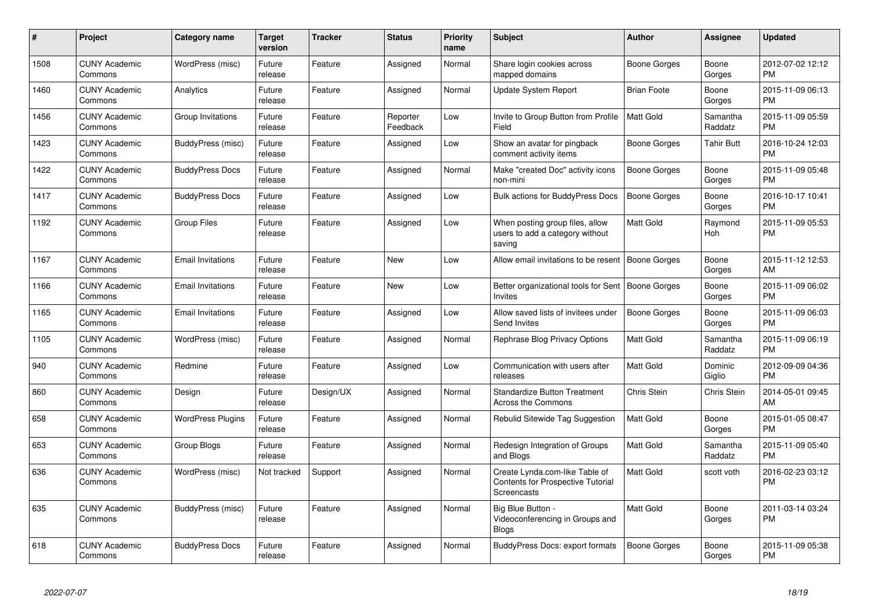| #    | Project                         | <b>Category name</b>     | <b>Target</b><br>version | <b>Tracker</b> | <b>Status</b>        | <b>Priority</b><br>name | <b>Subject</b>                                                                            | <b>Author</b>       | Assignee            | <b>Updated</b>                |
|------|---------------------------------|--------------------------|--------------------------|----------------|----------------------|-------------------------|-------------------------------------------------------------------------------------------|---------------------|---------------------|-------------------------------|
| 1508 | <b>CUNY Academic</b><br>Commons | WordPress (misc)         | Future<br>release        | Feature        | Assigned             | Normal                  | Share login cookies across<br>mapped domains                                              | Boone Gorges        | Boone<br>Gorges     | 2012-07-02 12:12<br><b>PM</b> |
| 1460 | <b>CUNY Academic</b><br>Commons | Analytics                | Future<br>release        | Feature        | Assigned             | Normal                  | <b>Update System Report</b>                                                               | <b>Brian Foote</b>  | Boone<br>Gorges     | 2015-11-09 06:13<br><b>PM</b> |
| 1456 | <b>CUNY Academic</b><br>Commons | Group Invitations        | Future<br>release        | Feature        | Reporter<br>Feedback | Low                     | Invite to Group Button from Profile<br>Field                                              | Matt Gold           | Samantha<br>Raddatz | 2015-11-09 05:59<br><b>PM</b> |
| 1423 | <b>CUNY Academic</b><br>Commons | BuddyPress (misc)        | Future<br>release        | Feature        | Assigned             | Low                     | Show an avatar for pingback<br>comment activity items                                     | Boone Gorges        | Tahir Butt          | 2016-10-24 12:03<br><b>PM</b> |
| 1422 | <b>CUNY Academic</b><br>Commons | <b>BuddyPress Docs</b>   | Future<br>release        | Feature        | Assigned             | Normal                  | Make "created Doc" activity icons<br>non-mini                                             | Boone Gorges        | Boone<br>Gorges     | 2015-11-09 05:48<br><b>PM</b> |
| 1417 | <b>CUNY Academic</b><br>Commons | <b>BuddyPress Docs</b>   | Future<br>release        | Feature        | Assigned             | Low                     | <b>Bulk actions for BuddyPress Docs</b>                                                   | Boone Gorges        | Boone<br>Gorges     | 2016-10-17 10:41<br><b>PM</b> |
| 1192 | <b>CUNY Academic</b><br>Commons | <b>Group Files</b>       | Future<br>release        | Feature        | Assigned             | Low                     | When posting group files, allow<br>users to add a category without<br>saving              | Matt Gold           | Raymond<br>Hoh      | 2015-11-09 05:53<br><b>PM</b> |
| 1167 | <b>CUNY Academic</b><br>Commons | <b>Email Invitations</b> | Future<br>release        | Feature        | New                  | Low                     | Allow email invitations to be resent                                                      | Boone Gorges        | Boone<br>Gorges     | 2015-11-12 12:53<br>AM        |
| 1166 | <b>CUNY Academic</b><br>Commons | <b>Email Invitations</b> | Future<br>release        | Feature        | New                  | Low                     | Better organizational tools for Sent   Boone Gorges<br>Invites                            |                     | Boone<br>Gorges     | 2015-11-09 06:02<br><b>PM</b> |
| 1165 | <b>CUNY Academic</b><br>Commons | <b>Email Invitations</b> | Future<br>release        | Feature        | Assigned             | Low                     | Allow saved lists of invitees under<br><b>Send Invites</b>                                | <b>Boone Gorges</b> | Boone<br>Gorges     | 2015-11-09 06:03<br><b>PM</b> |
| 1105 | <b>CUNY Academic</b><br>Commons | WordPress (misc)         | Future<br>release        | Feature        | Assigned             | Normal                  | Rephrase Blog Privacy Options                                                             | Matt Gold           | Samantha<br>Raddatz | 2015-11-09 06:19<br><b>PM</b> |
| 940  | <b>CUNY Academic</b><br>Commons | Redmine                  | Future<br>release        | Feature        | Assigned             | Low                     | Communication with users after<br>releases                                                | Matt Gold           | Dominic<br>Giglio   | 2012-09-09 04:36<br><b>PM</b> |
| 860  | <b>CUNY Academic</b><br>Commons | Design                   | Future<br>release        | Design/UX      | Assigned             | Normal                  | <b>Standardize Button Treatment</b><br>Across the Commons                                 | Chris Stein         | Chris Stein         | 2014-05-01 09:45<br>AM        |
| 658  | <b>CUNY Academic</b><br>Commons | <b>WordPress Plugins</b> | Future<br>release        | Feature        | Assigned             | Normal                  | Rebulid Sitewide Tag Suggestion                                                           | <b>Matt Gold</b>    | Boone<br>Gorges     | 2015-01-05 08:47<br><b>PM</b> |
| 653  | <b>CUNY Academic</b><br>Commons | Group Blogs              | Future<br>release        | Feature        | Assigned             | Normal                  | Redesign Integration of Groups<br>and Blogs                                               | Matt Gold           | Samantha<br>Raddatz | 2015-11-09 05:40<br><b>PM</b> |
| 636  | <b>CUNY Academic</b><br>Commons | WordPress (misc)         | Not tracked              | Support        | Assigned             | Normal                  | Create Lynda.com-like Table of<br><b>Contents for Prospective Tutorial</b><br>Screencasts | Matt Gold           | scott voth          | 2016-02-23 03:12<br><b>PM</b> |
| 635  | <b>CUNY Academic</b><br>Commons | BuddyPress (misc)        | Future<br>release        | Feature        | Assigned             | Normal                  | Big Blue Button -<br>Videoconferencing in Groups and<br><b>Blogs</b>                      | Matt Gold           | Boone<br>Gorges     | 2011-03-14 03:24<br>PM        |
| 618  | <b>CUNY Academic</b><br>Commons | <b>BuddyPress Docs</b>   | Future<br>release        | Feature        | Assigned             | Normal                  | BuddyPress Docs: export formats                                                           | Boone Gorges        | Boone<br>Gorges     | 2015-11-09 05:38<br><b>PM</b> |